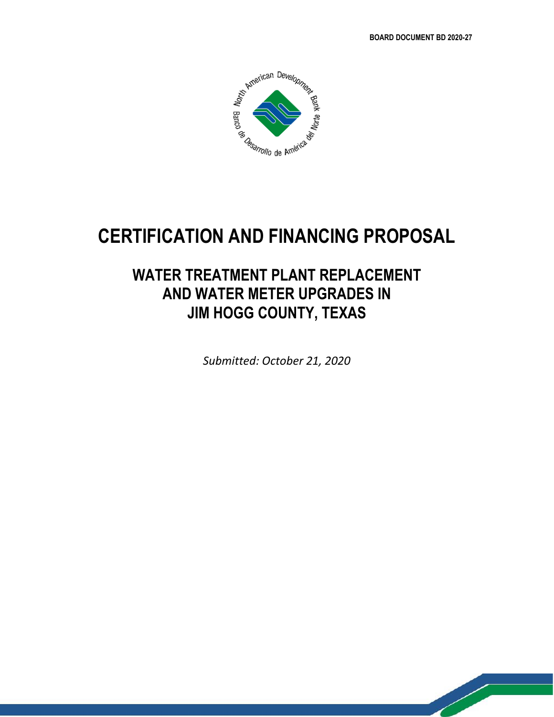$\mathbb{Z}$ 



# **CERTIFICATION AND FINANCING PROPOSAL**

## **WATER TREATMENT PLANT REPLACEMENT AND WATER METER UPGRADES IN JIM HOGG COUNTY, TEXAS**

*Submitted: October 21, 2020*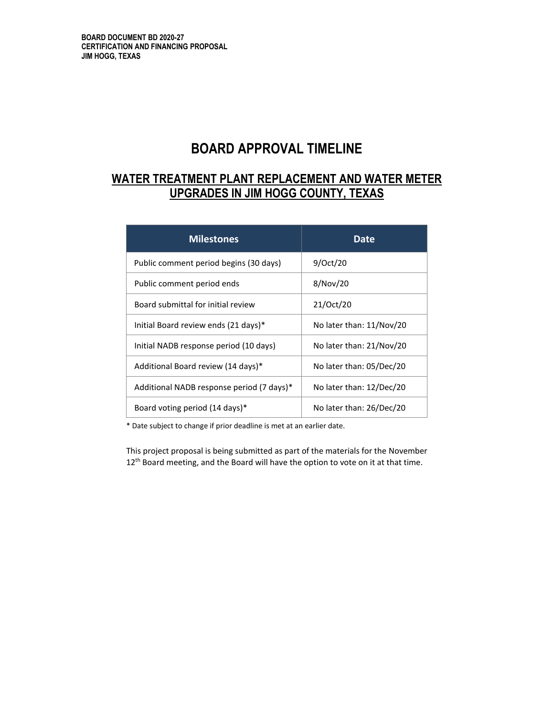## **BOARD APPROVAL TIMELINE**

## **WATER TREATMENT PLANT REPLACEMENT AND WATER METER UPGRADES IN JIM HOGG COUNTY, TEXAS**

| <b>Milestones</b>                         | Date                     |
|-------------------------------------------|--------------------------|
| Public comment period begins (30 days)    | 9/Oct/20                 |
| Public comment period ends                | 8/Nov/20                 |
| Board submittal for initial review        | 21/Oct/20                |
| Initial Board review ends (21 days)*      | No later than: 11/Nov/20 |
| Initial NADB response period (10 days)    | No later than: 21/Nov/20 |
| Additional Board review (14 days)*        | No later than: 05/Dec/20 |
| Additional NADB response period (7 days)* | No later than: 12/Dec/20 |
| Board voting period (14 days)*            | No later than: 26/Dec/20 |

\* Date subject to change if prior deadline is met at an earlier date.

This project proposal is being submitted as part of the materials for the November 12<sup>th</sup> Board meeting, and the Board will have the option to vote on it at that time.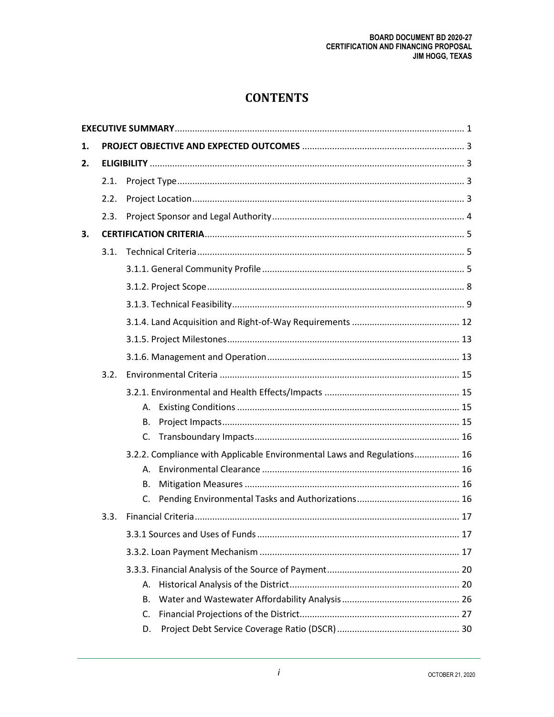## **CONTENTS**

| 1. |      |                                                                         |
|----|------|-------------------------------------------------------------------------|
| 2. |      |                                                                         |
|    | 2.1. |                                                                         |
|    | 2.2. |                                                                         |
|    | 2.3. |                                                                         |
| 3. |      |                                                                         |
|    | 3.1. |                                                                         |
|    |      |                                                                         |
|    |      |                                                                         |
|    |      |                                                                         |
|    |      |                                                                         |
|    |      |                                                                         |
|    |      |                                                                         |
|    | 3.2. |                                                                         |
|    |      |                                                                         |
|    |      | А.                                                                      |
|    |      | В.                                                                      |
|    |      | C.                                                                      |
|    |      | 3.2.2. Compliance with Applicable Environmental Laws and Regulations 16 |
|    |      | А.                                                                      |
|    |      | В.                                                                      |
|    |      | C.                                                                      |
|    | 3.3. |                                                                         |
|    |      |                                                                         |
|    |      |                                                                         |
|    |      |                                                                         |
|    |      | А.                                                                      |
|    |      | В.                                                                      |
|    |      | C.                                                                      |
|    |      | D.                                                                      |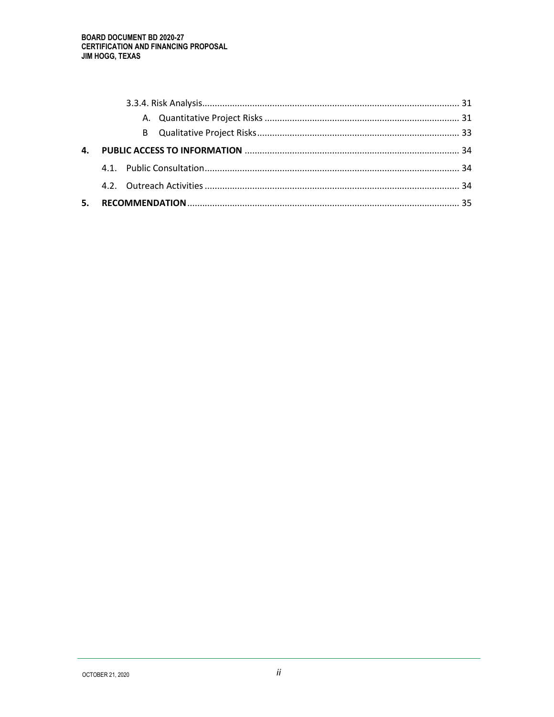| 4. |  |
|----|--|
|    |  |
|    |  |
| 5. |  |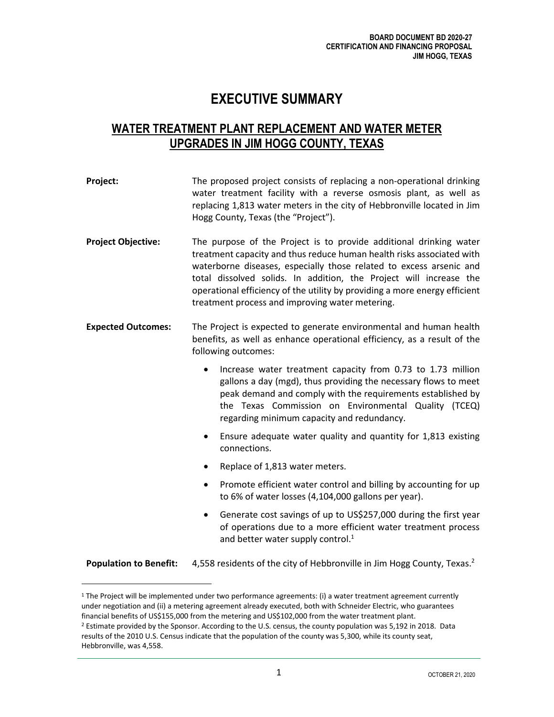## **EXECUTIVE SUMMARY**

## <span id="page-4-0"></span>**WATER TREATMENT PLANT REPLACEMENT AND WATER METER UPGRADES IN JIM HOGG COUNTY, TEXAS**

| Project:                      | The proposed project consists of replacing a non-operational drinking<br>water treatment facility with a reverse osmosis plant, as well as<br>replacing 1,813 water meters in the city of Hebbronville located in Jim<br>Hogg County, Texas (the "Project").                                                                                                                                                              |  |  |  |  |  |  |  |
|-------------------------------|---------------------------------------------------------------------------------------------------------------------------------------------------------------------------------------------------------------------------------------------------------------------------------------------------------------------------------------------------------------------------------------------------------------------------|--|--|--|--|--|--|--|
| <b>Project Objective:</b>     | The purpose of the Project is to provide additional drinking water<br>treatment capacity and thus reduce human health risks associated with<br>waterborne diseases, especially those related to excess arsenic and<br>total dissolved solids. In addition, the Project will increase the<br>operational efficiency of the utility by providing a more energy efficient<br>treatment process and improving water metering. |  |  |  |  |  |  |  |
| <b>Expected Outcomes:</b>     | The Project is expected to generate environmental and human health<br>benefits, as well as enhance operational efficiency, as a result of the<br>following outcomes:                                                                                                                                                                                                                                                      |  |  |  |  |  |  |  |
|                               | Increase water treatment capacity from 0.73 to 1.73 million<br>$\bullet$<br>gallons a day (mgd), thus providing the necessary flows to meet<br>peak demand and comply with the requirements established by<br>the Texas Commission on Environmental Quality (TCEQ)<br>regarding minimum capacity and redundancy.                                                                                                          |  |  |  |  |  |  |  |
|                               | Ensure adequate water quality and quantity for 1,813 existing<br>$\bullet$<br>connections.                                                                                                                                                                                                                                                                                                                                |  |  |  |  |  |  |  |
|                               | Replace of 1,813 water meters.                                                                                                                                                                                                                                                                                                                                                                                            |  |  |  |  |  |  |  |
|                               | Promote efficient water control and billing by accounting for up<br>٠<br>to 6% of water losses (4,104,000 gallons per year).                                                                                                                                                                                                                                                                                              |  |  |  |  |  |  |  |
|                               | Generate cost savings of up to US\$257,000 during the first year<br>$\bullet$<br>of operations due to a more efficient water treatment process<br>and better water supply control. <sup>1</sup>                                                                                                                                                                                                                           |  |  |  |  |  |  |  |
| <b>Population to Benefit:</b> | 4,558 residents of the city of Hebbronville in Jim Hogg County, Texas. <sup>2</sup>                                                                                                                                                                                                                                                                                                                                       |  |  |  |  |  |  |  |

<sup>1</sup> The Project will be implemented under two performance agreements: (i) a water treatment agreement currently under negotiation and (ii) a metering agreement already executed, both with Schneider Electric, who guarantees financial benefits of US\$155,000 from the metering and US\$102,000 from the water treatment plant. <sup>2</sup> Estimate provided by the Sponsor. According to the U.S. census, the county population was 5,192 in 2018. Data

results of the 2010 U.S. Census indicate that the population of the county was 5,300, while its county seat, Hebbronville, was 4,558.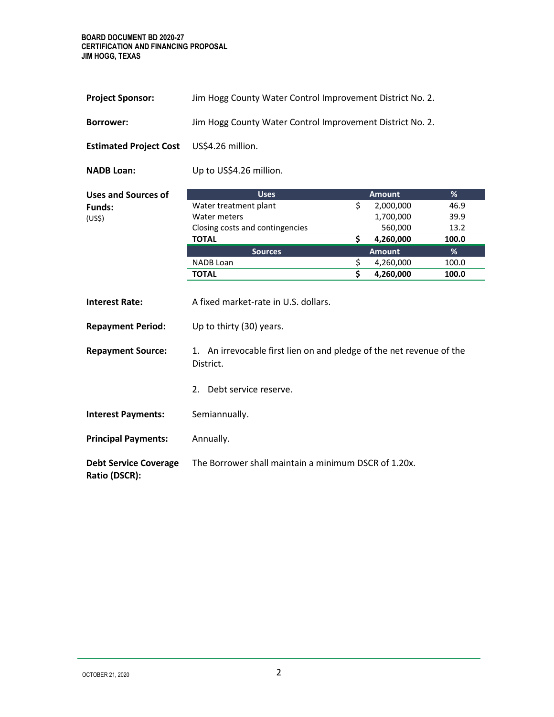**BOARD DOCUMENT BD 2020-27 CERTIFICATION AND FINANCING PROPOSAL JIM HOGG, TEXAS**

| <b>Project Sponsor:</b>                         | Jim Hogg County Water Control Improvement District No. 2. |
|-------------------------------------------------|-----------------------------------------------------------|
| <b>Borrower:</b>                                | Jim Hogg County Water Control Improvement District No. 2. |
| <b>Estimated Project Cost</b> US\$4.26 million. |                                                           |
| <b>NADB Loan:</b>                               | Up to US\$4.26 million.                                   |

| Uses and Sources of | <b>Uses</b>                     | <b>Amount</b> | %             |
|---------------------|---------------------------------|---------------|---------------|
| Funds:              | Water treatment plant           | 2,000,000     | 46.9          |
| (US\$)              | Water meters                    | 1,700,000     | 39.9          |
|                     | Closing costs and contingencies | 560,000       | 13.2          |
|                     | <b>TOTAL</b>                    | 4,260,000     | 100.0         |
|                     | <b>Sources</b>                  | <b>Amount</b> | $\frac{9}{6}$ |
|                     | NADB Loan                       | 4,260,000     | 100.0         |
|                     | <b>TOTAL</b>                    | 4,260,000     | 100.0         |

| <b>Interest Rate:</b>                         | A fixed market-rate in U.S. dollars.                                              |
|-----------------------------------------------|-----------------------------------------------------------------------------------|
| <b>Repayment Period:</b>                      | Up to thirty (30) years.                                                          |
| <b>Repayment Source:</b>                      | 1. An irrevocable first lien on and pledge of the net revenue of the<br>District. |
|                                               | 2. Debt service reserve.                                                          |
| <b>Interest Payments:</b>                     | Semiannually.                                                                     |
| <b>Principal Payments:</b>                    | Annually.                                                                         |
| <b>Debt Service Coverage</b><br>Ratio (DSCR): | The Borrower shall maintain a minimum DSCR of 1.20x.                              |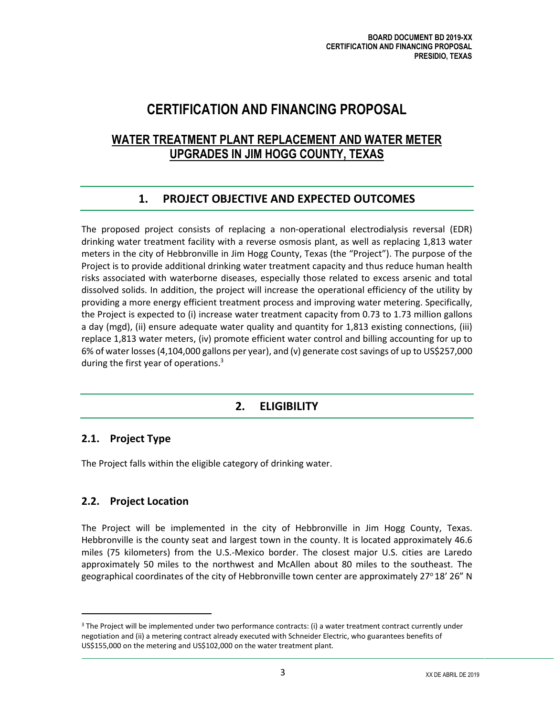## **CERTIFICATION AND FINANCING PROPOSAL**

## **WATER TREATMENT PLANT REPLACEMENT AND WATER METER UPGRADES IN JIM HOGG COUNTY, TEXAS**

### **1. PROJECT OBJECTIVE AND EXPECTED OUTCOMES**

<span id="page-6-0"></span>The proposed project consists of replacing a non-operational electrodialysis reversal (EDR) drinking water treatment facility with a reverse osmosis plant, as well as replacing 1,813 water meters in the city of Hebbronville in Jim Hogg County, Texas (the "Project"). The purpose of the Project is to provide additional drinking water treatment capacity and thus reduce human health risks associated with waterborne diseases, especially those related to excess arsenic and total dissolved solids. In addition, the project will increase the operational efficiency of the utility by providing a more energy efficient treatment process and improving water metering. Specifically, the Project is expected to (i) increase water treatment capacity from 0.73 to 1.73 million gallons a day (mgd), (ii) ensure adequate water quality and quantity for 1,813 existing connections, (iii) replace 1,813 water meters, (iv) promote efficient water control and billing accounting for up to 6% of water losses(4,104,000 gallons per year), and (v) generate cost savings of up to US\$257,000 during the first year of operations.<sup>3</sup>

## **2. ELIGIBILITY**

### <span id="page-6-2"></span><span id="page-6-1"></span>**2.1. Project Type**

The Project falls within the eligible category of drinking water.

#### <span id="page-6-3"></span>**2.2. Project Location**

The Project will be implemented in the city of Hebbronville in Jim Hogg County, Texas. Hebbronville is the county seat and largest town in the county. It is located approximately 46.6 miles (75 kilometers) from the U.S.-Mexico border. The closest major U.S. cities are Laredo approximately 50 miles to the northwest and McAllen about 80 miles to the southeast. The geographical coordinates of the city of Hebbronville town center are approximately 27°18' 26" N

 $3$  The Project will be implemented under two performance contracts: (i) a water treatment contract currently under negotiation and (ii) a metering contract already executed with Schneider Electric, who guarantees benefits of US\$155,000 on the metering and US\$102,000 on the water treatment plant.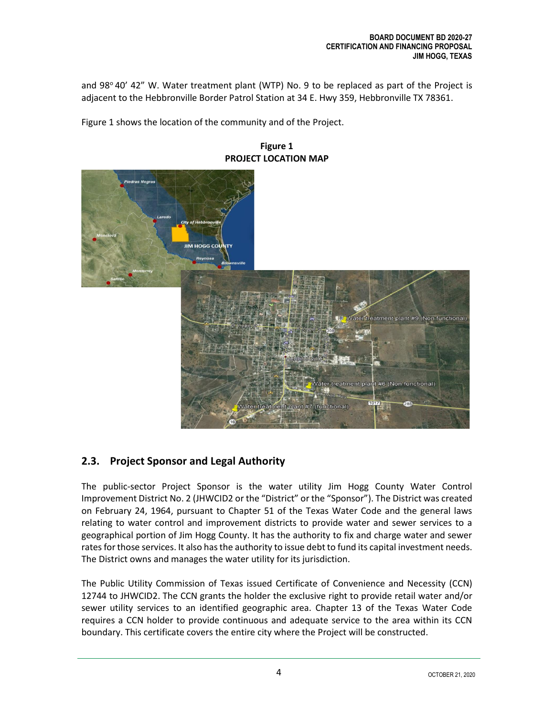and  $98^{\circ}$  40' 42" W. Water treatment plant (WTP) No. 9 to be replaced as part of the Project is adjacent to the Hebbronville Border Patrol Station at 34 E. Hwy 359, Hebbronville TX 78361.

Figure 1 shows the location of the community and of the Project.

**IIM HOGG COL** eatment plant #9 (Non functional) Vater treatment plant #6 (Non functional) ater treatment plant #7 (functional)

#### **Figure 1 PROJECT LOCATION MAP**

## <span id="page-7-0"></span>**2.3. Project Sponsor and Legal Authority**

The public-sector Project Sponsor is the water utility Jim Hogg County Water Control Improvement District No. 2 (JHWCID2 or the "District" or the "Sponsor"). The District was created on February 24, 1964, pursuant to Chapter 51 of the Texas Water Code and the general laws relating to water control and improvement districts to provide water and sewer services to a geographical portion of Jim Hogg County. It has the authority to fix and charge water and sewer rates for those services. It also has the authority to issue debt to fund its capital investment needs. The District owns and manages the water utility for its jurisdiction.

The Public Utility Commission of Texas issued Certificate of Convenience and Necessity (CCN) 12744 to JHWCID2. The CCN grants the holder the exclusive right to provide retail water and/or sewer utility services to an identified geographic area. Chapter 13 of the Texas Water Code requires a CCN holder to provide continuous and adequate service to the area within its CCN boundary. This certificate covers the entire city where the Project will be constructed.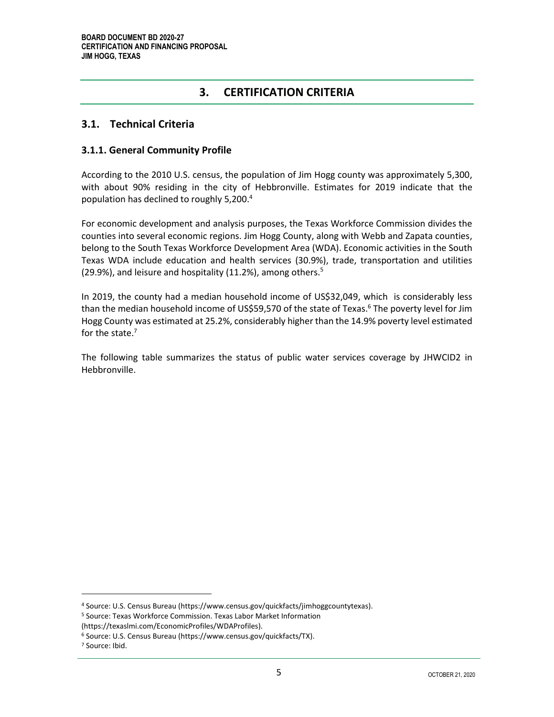### **3. CERTIFICATION CRITERIA**

#### <span id="page-8-1"></span><span id="page-8-0"></span>**3.1. Technical Criteria**

#### <span id="page-8-2"></span>**3.1.1. General Community Profile**

According to the 2010 U.S. census, the population of Jim Hogg county was approximately 5,300, with about 90% residing in the city of Hebbronville. Estimates for 2019 indicate that the population has declined to roughly 5,200.<sup>4</sup>

For economic development and analysis purposes, the Texas Workforce Commission divides the counties into several economic regions. Jim Hogg County, along with Webb and Zapata counties, belong to the South Texas Workforce Development Area (WDA). Economic activities in the South Texas WDA include education and health services (30.9%), trade, transportation and utilities  $(29.9\%)$ , and leisure and hospitality  $(11.2\%)$ , among others.<sup>5</sup>

In 2019, the county had a median household income of US\$32,049, which is considerably less than the median household income of US\$59,570 of the state of Texas. <sup>6</sup> The poverty level for Jim Hogg County was estimated at 25.2%, considerably higher than the 14.9% poverty level estimated for the state.<sup>7</sup>

The following table summarizes the status of public water services coverage by JHWCID2 in Hebbronville.

<sup>4</sup> Source: U.S. Census Bureau [\(https://www.census.gov/quickfacts/jimhoggcountytexas\)](https://www.census.gov/quickfacts/jimhoggcountytexas).

<sup>5</sup> Source: Texas Workforce Commission. Texas Labor Market Information

[<sup>\(</sup>https://texaslmi.com/EconomicProfiles/WDAProfiles\)](https://texaslmi.com/EconomicProfiles/WDAProfiles).

<sup>6</sup> Source: U.S. Census Bureau [\(https://www.census.gov/quickfacts/TX\)](https://www.census.gov/quickfacts/TX).

<sup>7</sup> Source: Ibid.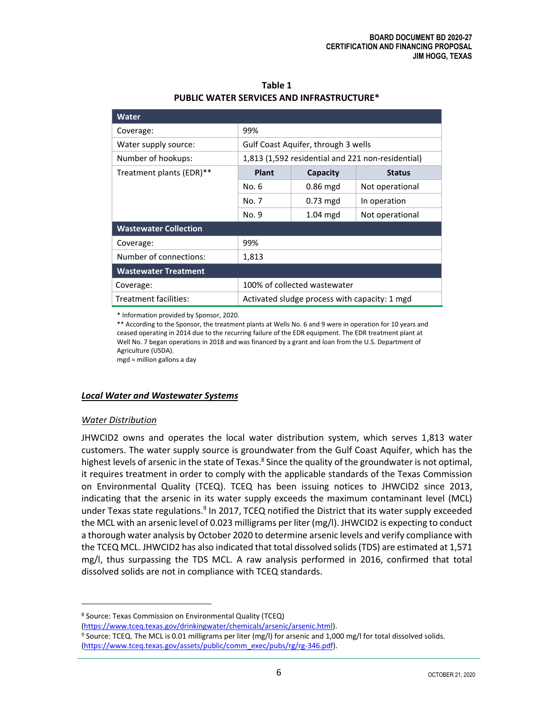| Water                        |                                                   |            |                 |  |  |  |  |  |
|------------------------------|---------------------------------------------------|------------|-----------------|--|--|--|--|--|
| Coverage:                    | 99%                                               |            |                 |  |  |  |  |  |
| Water supply source:         | Gulf Coast Aquifer, through 3 wells               |            |                 |  |  |  |  |  |
| Number of hookups:           | 1,813 (1,592 residential and 221 non-residential) |            |                 |  |  |  |  |  |
| Treatment plants (EDR)**     | <b>Plant</b>                                      | Capacity   | <b>Status</b>   |  |  |  |  |  |
|                              | No. 6                                             | $0.86$ mgd | Not operational |  |  |  |  |  |
|                              | No. 7<br>$0.73$ mgd<br>In operation               |            |                 |  |  |  |  |  |
|                              | $1.04$ mgd<br>No. 9<br>Not operational            |            |                 |  |  |  |  |  |
| <b>Wastewater Collection</b> |                                                   |            |                 |  |  |  |  |  |
| Coverage:                    | 99%                                               |            |                 |  |  |  |  |  |
| Number of connections:       | 1,813                                             |            |                 |  |  |  |  |  |
| <b>Wastewater Treatment</b>  |                                                   |            |                 |  |  |  |  |  |
| Coverage:                    | 100% of collected wastewater                      |            |                 |  |  |  |  |  |
| Treatment facilities:        | Activated sludge process with capacity: 1 mgd     |            |                 |  |  |  |  |  |

**Table 1 PUBLIC WATER SERVICES AND INFRASTRUCTURE\***

\* Information provided by Sponsor, 2020.

\*\* According to the Sponsor, the treatment plants at Wells No. 6 and 9 were in operation for 10 years and ceased operating in 2014 due to the recurring failure of the EDR equipment. The EDR treatment plant at Well No. 7 began operations in 2018 and was financed by a grant and loan from the U.S. Department of Agriculture (USDA).

mgd = million gallons a day

#### *Local Water and Wastewater Systems*

#### *Water Distribution*

JHWCID2 owns and operates the local water distribution system, which serves 1,813 water customers. The water supply source is groundwater from the Gulf Coast Aquifer, which has the highest levels of arsenic in the state of Texas.<sup>8</sup> Since the quality of the groundwater is not optimal, it requires treatment in order to comply with the applicable standards of the Texas Commission on Environmental Quality (TCEQ). TCEQ has been issuing notices to JHWCID2 since 2013, indicating that the arsenic in its water supply exceeds the maximum contaminant level (MCL) under Texas state regulations.<sup>9</sup> In 2017, TCEQ notified the District that its water supply exceeded the MCL with an arsenic level of 0.023 milligrams per liter (mg/l). JHWCID2 is expecting to conduct a thorough water analysis by October 2020 to determine arsenic levels and verify compliance with the TCEQ MCL. JHWCID2 has also indicated that total dissolved solids (TDS) are estimated at 1,571 mg/l, thus surpassing the TDS MCL. A raw analysis performed in 2016, confirmed that total dissolved solids are not in compliance with TCEQ standards.

[\(https://www.tceq.texas.gov/drinkingwater/chemicals/arsenic/arsenic.html\)](https://www.tceq.texas.gov/drinkingwater/chemicals/arsenic/arsenic.html).

<sup>8</sup> Source: Texas Commission on Environmental Quality (TCEQ)

<sup>&</sup>lt;sup>9</sup> Source: TCEQ. The MCL is 0.01 milligrams per liter (mg/l) for arsenic and 1,000 mg/l for total dissolved solids. [\(https://www.tceq.texas.gov/assets/public/comm\\_exec/pubs/rg/rg-346.pdf\).](https://www.tceq.texas.gov/assets/public/comm_exec/pubs/rg/rg-346.pdf)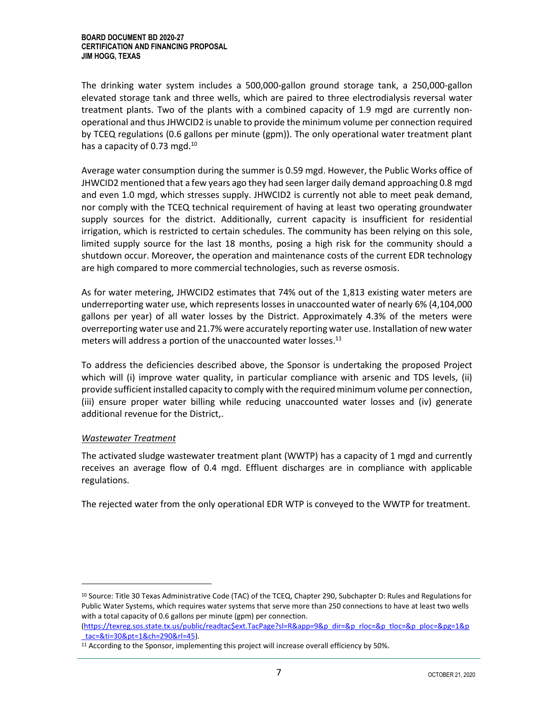The drinking water system includes a 500,000-gallon ground storage tank, a 250,000-gallon elevated storage tank and three wells, which are paired to three electrodialysis reversal water treatment plants. Two of the plants with a combined capacity of 1.9 mgd are currently nonoperational and thus JHWCID2 is unable to provide the minimum volume per connection required by TCEQ regulations (0.6 gallons per minute (gpm)). The only operational water treatment plant has a capacity of 0.73 mgd. $^{10}$ 

Average water consumption during the summer is 0.59 mgd. However, the Public Works office of JHWCID2 mentioned that a few years ago they had seen larger daily demand approaching 0.8 mgd and even 1.0 mgd, which stresses supply. JHWCID2 is currently not able to meet peak demand, nor comply with the TCEQ technical requirement of having at least two operating groundwater supply sources for the district. Additionally, current capacity is insufficient for residential irrigation, which is restricted to certain schedules. The community has been relying on this sole, limited supply source for the last 18 months, posing a high risk for the community should a shutdown occur. Moreover, the operation and maintenance costs of the current EDR technology are high compared to more commercial technologies, such as reverse osmosis.

As for water metering, JHWCID2 estimates that 74% out of the 1,813 existing water meters are underreporting water use, which represents losses in unaccounted water of nearly 6% (4,104,000 gallons per year) of all water losses by the District. Approximately 4.3% of the meters were overreporting water use and 21.7% were accurately reporting water use. Installation of new water meters will address a portion of the unaccounted water losses.<sup>11</sup>

To address the deficiencies described above, the Sponsor is undertaking the proposed Project which will (i) improve water quality, in particular compliance with arsenic and TDS levels, (ii) provide sufficient installed capacity to comply with the required minimum volume per connection, (iii) ensure proper water billing while reducing unaccounted water losses and (iv) generate additional revenue for the District,.

#### *Wastewater Treatment*

The activated sludge wastewater treatment plant (WWTP) has a capacity of 1 mgd and currently receives an average flow of 0.4 mgd. Effluent discharges are in compliance with applicable regulations.

The rejected water from the only operational EDR WTP is conveyed to the WWTP for treatment.

<sup>&</sup>lt;sup>10</sup> Source: Title 30 Texas Administrative Code (TAC) of the TCEQ, Chapter 290, Subchapter D: Rules and Regulations for Public Water Systems, which requires water systems that serve more than 250 connections to have at least two wells with a total capacity of 0.6 gallons per minute (gpm) per connection.

[<sup>\(</sup>https://texreg.sos.state.tx.us/public/readtac\\$ext.TacPage?sl=R&app=9&p\\_dir=&p\\_rloc=&p\\_tloc=&p\\_ploc=&pg=1&p](https://texreg.sos.state.tx.us/public/readtac$ext.TacPage?sl=R&app=9&p_dir=&p_rloc=&p_tloc=&p_ploc=&pg=1&p_tac=&ti=30&pt=1&ch=290&rl=45) [\\_tac=&ti=30&pt=1&ch=290&rl=45\)](https://texreg.sos.state.tx.us/public/readtac$ext.TacPage?sl=R&app=9&p_dir=&p_rloc=&p_tloc=&p_ploc=&pg=1&p_tac=&ti=30&pt=1&ch=290&rl=45).

<sup>&</sup>lt;sup>11</sup> According to the Sponsor, implementing this project will increase overall efficiency by 50%.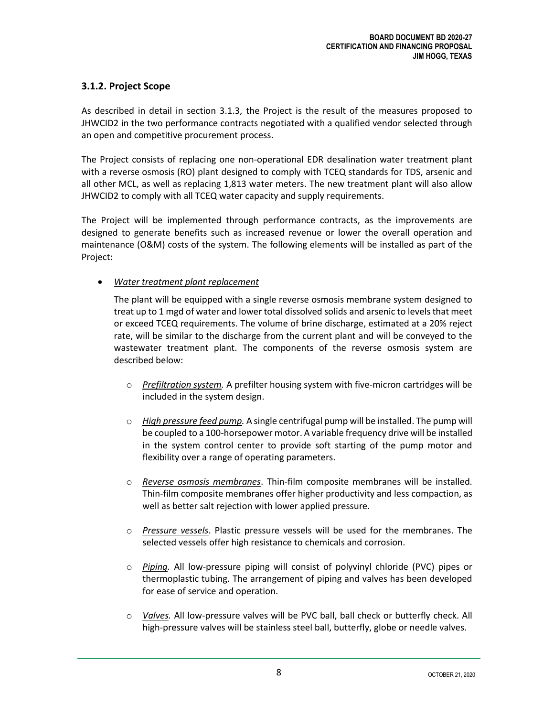#### <span id="page-11-0"></span>**3.1.2. Project Scope**

As described in detail in section 3.1.3, the Project is the result of the measures proposed to JHWCID2 in the two performance contracts negotiated with a qualified vendor selected through an open and competitive procurement process.

The Project consists of replacing one non-operational EDR desalination water treatment plant with a reverse osmosis (RO) plant designed to comply with TCEQ standards for TDS, arsenic and all other MCL, as well as replacing 1,813 water meters. The new treatment plant will also allow JHWCID2 to comply with all TCEQ water capacity and supply requirements.

The Project will be implemented through performance contracts, as the improvements are designed to generate benefits such as increased revenue or lower the overall operation and maintenance (O&M) costs of the system. The following elements will be installed as part of the Project:

#### • *Water treatment plant replacement*

The plant will be equipped with a single reverse osmosis membrane system designed to treat up to 1 mgd of water and lower total dissolved solids and arsenic to levels that meet or exceed TCEQ requirements. The volume of brine discharge, estimated at a 20% reject rate, will be similar to the discharge from the current plant and will be conveyed to the wastewater treatment plant. The components of the reverse osmosis system are described below:

- o *Prefiltration system.* A prefilter housing system with five-micron cartridges will be included in the system design.
- o *High pressure feed pump.* A single centrifugal pump will be installed. The pump will be coupled to a 100-horsepower motor. A variable frequency drive will be installed in the system control center to provide soft starting of the pump motor and flexibility over a range of operating parameters.
- o *Reverse osmosis membranes*. Thin-film composite membranes will be installed. Thin-film composite membranes offer higher productivity and less compaction, as well as better salt rejection with lower applied pressure.
- o *Pressure vessels*. Plastic pressure vessels will be used for the membranes. The selected vessels offer high resistance to chemicals and corrosion.
- o *Piping.* All low-pressure piping will consist of polyvinyl chloride (PVC) pipes or thermoplastic tubing. The arrangement of piping and valves has been developed for ease of service and operation.
- o *Valves.* All low-pressure valves will be PVC ball, ball check or butterfly check. All high-pressure valves will be stainless steel ball, butterfly, globe or needle valves.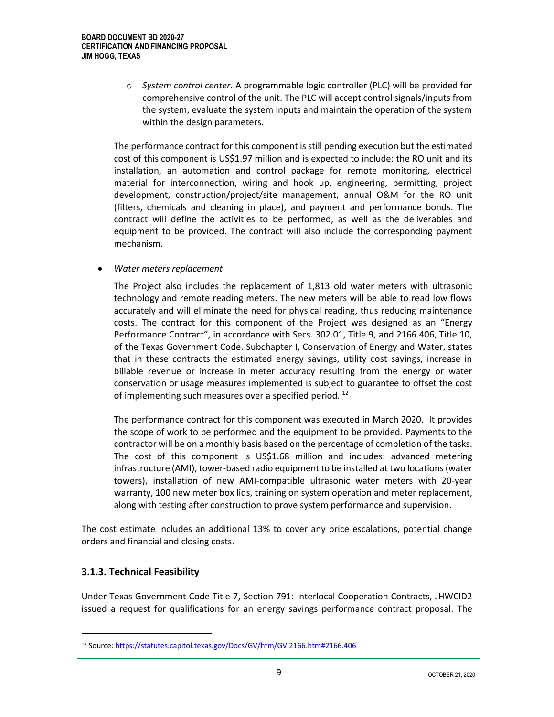o *System control center.* A programmable logic controller (PLC) will be provided for comprehensive control of the unit. The PLC will accept control signals/inputs from the system, evaluate the system inputs and maintain the operation of the system within the design parameters.

The performance contract for this component is still pending execution but the estimated cost of this component is US\$1.97 million and is expected to include: the RO unit and its installation, an automation and control package for remote monitoring, electrical material for interconnection, wiring and hook up, engineering, permitting, project development, construction/project/site management, annual O&M for the RO unit (filters, chemicals and cleaning in place), and payment and performance bonds. The contract will define the activities to be performed, as well as the deliverables and equipment to be provided. The contract will also include the corresponding payment mechanism.

#### • *Water meters replacement*

The Project also includes the replacement of 1,813 old water meters with ultrasonic technology and remote reading meters. The new meters will be able to read low flows accurately and will eliminate the need for physical reading, thus reducing maintenance costs. The contract for this component of the Project was designed as an "Energy Performance Contract", in accordance with Secs. 302.01, Title 9, and 2166.406, Title 10, of the Texas Government Code. Subchapter I, Conservation of Energy and Water, states that in these contracts the estimated energy savings, utility cost savings, increase in billable revenue or increase in meter accuracy resulting from the energy or water conservation or usage measures implemented is subject to guarantee to offset the cost of implementing such measures over a specified period.<sup>12</sup>

The performance contract for this component was executed in March 2020. It provides the scope of work to be performed and the equipment to be provided. Payments to the contractor will be on a monthly basis based on the percentage of completion of the tasks. The cost of this component is US\$1.68 million and includes: advanced metering infrastructure (AMI), tower-based radio equipment to be installed at two locations (water towers), installation of new AMI-compatible ultrasonic water meters with 20-year warranty, 100 new meter box lids, training on system operation and meter replacement, along with testing after construction to prove system performance and supervision.

The cost estimate includes an additional 13% to cover any price escalations, potential change orders and financial and closing costs.

#### <span id="page-12-0"></span>**3.1.3. Technical Feasibility**

Under Texas Government Code Title 7, Section 791: Interlocal Cooperation Contracts, JHWCID2 issued a request for qualifications for an energy savings performance contract proposal. The

<sup>12</sup> Source[: https://statutes.capitol.texas.gov/Docs/GV/htm/GV.2166.htm#2166.406](https://statutes.capitol.texas.gov/Docs/GV/htm/GV.2166.htm#2166.406)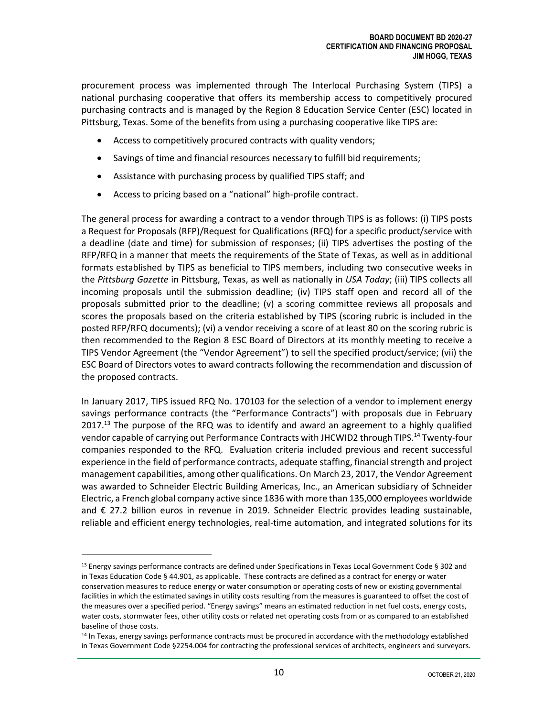procurement process was implemented through The Interlocal Purchasing System (TIPS) a national purchasing cooperative that offers its membership access to competitively procured purchasing contracts and is managed by the Region 8 Education Service Center (ESC) located in Pittsburg, Texas. Some of the benefits from using a purchasing cooperative like TIPS are:

- Access to competitively procured contracts with quality vendors;
- Savings of time and financial resources necessary to fulfill bid requirements;
- Assistance with purchasing process by qualified TIPS staff; and
- Access to pricing based on a "national" high-profile contract.

The general process for awarding a contract to a vendor through TIPS is as follows: (i) TIPS posts a Request for Proposals (RFP)/Request for Qualifications (RFQ) for a specific product/service with a deadline (date and time) for submission of responses; (ii) TIPS advertises the posting of the RFP/RFQ in a manner that meets the requirements of the State of Texas, as well as in additional formats established by TIPS as beneficial to TIPS members, including two consecutive weeks in the *Pittsburg Gazette* in Pittsburg, Texas, as well as nationally in *USA Today*; (iii) TIPS collects all incoming proposals until the submission deadline; (iv) TIPS staff open and record all of the proposals submitted prior to the deadline; (v) a scoring committee reviews all proposals and scores the proposals based on the criteria established by TIPS (scoring rubric is included in the posted RFP/RFQ documents); (vi) a vendor receiving a score of at least 80 on the scoring rubric is then recommended to the Region 8 ESC Board of Directors at its monthly meeting to receive a TIPS Vendor Agreement (the "Vendor Agreement") to sell the specified product/service; (vii) the ESC Board of Directors votes to award contracts following the recommendation and discussion of the proposed contracts.

In January 2017, TIPS issued RFQ No. 170103 for the selection of a vendor to implement energy savings performance contracts (the "Performance Contracts") with proposals due in February 2017.<sup>13</sup> The purpose of the RFQ was to identify and award an agreement to a highly qualified vendor capable of carrying out Performance Contracts with JHCWID2 through TIPS.<sup>14</sup> Twenty-four companies responded to the RFQ. Evaluation criteria included previous and recent successful experience in the field of performance contracts, adequate staffing, financial strength and project management capabilities, among other qualifications. On March 23, 2017, the Vendor Agreement was awarded to Schneider Electric Building Americas, Inc., an American subsidiary of Schneider Electric, a French global company active since 1836 with more than 135,000 employees worldwide and € 27.2 billion euros in revenue in 2019. Schneider Electric provides leading sustainable, reliable and efficient energy technologies, real-time automation, and integrated solutions for its

 $13$  Energy savings performance contracts are defined under Specifications in Texas Local Government Code § 302 and in Texas Education Code § 44.901, as applicable. These contracts are defined as a contract for energy or water conservation measures to reduce energy or water consumption or operating costs of new or existing governmental facilities in which the estimated savings in utility costs resulting from the measures is guaranteed to offset the cost of the measures over a specified period. "Energy savings" means an estimated reduction in net fuel costs, energy costs, water costs, stormwater fees, other utility costs or related net operating costs from or as compared to an established baseline of those costs.

<sup>&</sup>lt;sup>14</sup> In Texas, energy savings performance contracts must be procured in accordance with the methodology established in Texas Government Code §2254.004 for contracting the professional services of architects, engineers and surveyors.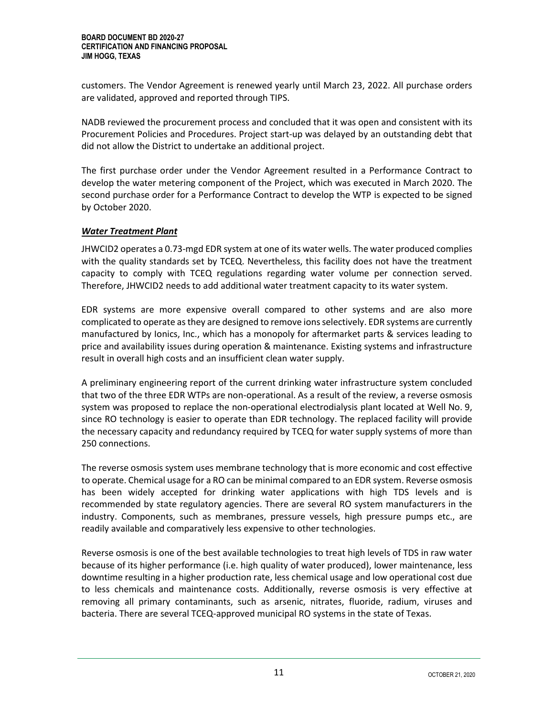customers. The Vendor Agreement is renewed yearly until March 23, 2022. All purchase orders are validated, approved and reported through TIPS.

NADB reviewed the procurement process and concluded that it was open and consistent with its Procurement Policies and Procedures. Project start-up was delayed by an outstanding debt that did not allow the District to undertake an additional project.

The first purchase order under the Vendor Agreement resulted in a Performance Contract to develop the water metering component of the Project, which was executed in March 2020. The second purchase order for a Performance Contract to develop the WTP is expected to be signed by October 2020.

#### *Water Treatment Plant*

JHWCID2 operates a 0.73-mgd EDR system at one of its water wells. The water produced complies with the quality standards set by TCEQ. Nevertheless, this facility does not have the treatment capacity to comply with TCEQ regulations regarding water volume per connection served. Therefore, JHWCID2 needs to add additional water treatment capacity to its water system.

EDR systems are more expensive overall compared to other systems and are also more complicated to operate as they are designed to remove ions selectively. EDR systems are currently manufactured by Ionics, Inc., which has a monopoly for aftermarket parts & services leading to price and availability issues during operation & maintenance. Existing systems and infrastructure result in overall high costs and an insufficient clean water supply.

A preliminary engineering report of the current drinking water infrastructure system concluded that two of the three EDR WTPs are non-operational. As a result of the review, a reverse osmosis system was proposed to replace the non-operational electrodialysis plant located at Well No. 9, since RO technology is easier to operate than EDR technology. The replaced facility will provide the necessary capacity and redundancy required by TCEQ for water supply systems of more than 250 connections.

The reverse osmosis system uses membrane technology that is more economic and cost effective to operate. Chemical usage for a RO can be minimal compared to an EDR system. Reverse osmosis has been widely accepted for drinking water applications with high TDS levels and is recommended by state regulatory agencies. There are several RO system manufacturers in the industry. Components, such as membranes, pressure vessels, high pressure pumps etc., are readily available and comparatively less expensive to other technologies.

Reverse osmosis is one of the best available technologies to treat high levels of TDS in raw water because of its higher performance (i.e. high quality of water produced), lower maintenance, less downtime resulting in a higher production rate, less chemical usage and low operational cost due to less chemicals and maintenance costs. Additionally, reverse osmosis is very effective at removing all primary contaminants, such as arsenic, nitrates, fluoride, radium, viruses and bacteria. There are several TCEQ-approved municipal RO systems in the state of Texas.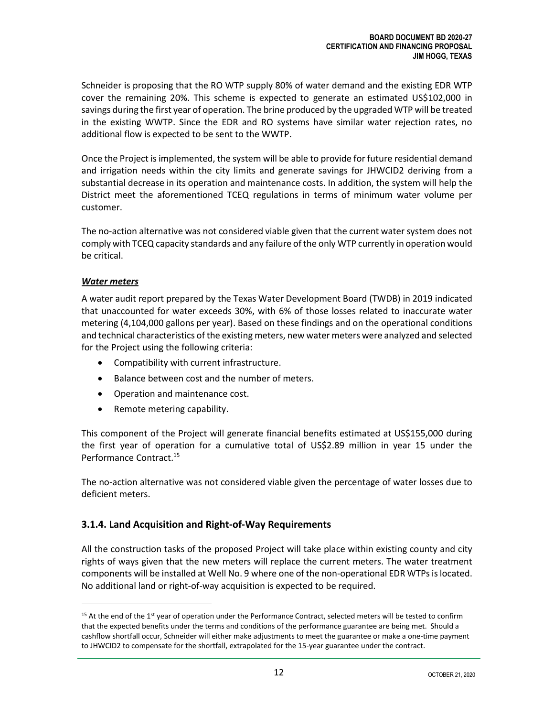Schneider is proposing that the RO WTP supply 80% of water demand and the existing EDR WTP cover the remaining 20%. This scheme is expected to generate an estimated US\$102,000 in savings during the first year of operation. The brine produced by the upgraded WTP will be treated in the existing WWTP. Since the EDR and RO systems have similar water rejection rates, no additional flow is expected to be sent to the WWTP.

Once the Project is implemented, the system will be able to provide for future residential demand and irrigation needs within the city limits and generate savings for JHWCID2 deriving from a substantial decrease in its operation and maintenance costs. In addition, the system will help the District meet the aforementioned TCEQ regulations in terms of minimum water volume per customer.

The no-action alternative was not considered viable given that the current water system does not comply with TCEQ capacity standards and any failure ofthe only WTP currently in operation would be critical.

#### *Water meters*

A water audit report prepared by the Texas Water Development Board (TWDB) in 2019 indicated that unaccounted for water exceeds 30%, with 6% of those losses related to inaccurate water metering (4,104,000 gallons per year). Based on these findings and on the operational conditions and technical characteristics of the existing meters, new water meters were analyzed and selected for the Project using the following criteria:

- Compatibility with current infrastructure.
- Balance between cost and the number of meters.
- Operation and maintenance cost.
- Remote metering capability.

This component of the Project will generate financial benefits estimated at US\$155,000 during the first year of operation for a cumulative total of US\$2.89 million in year 15 under the Performance Contract. 15

The no-action alternative was not considered viable given the percentage of water losses due to deficient meters.

#### <span id="page-15-0"></span>**3.1.4. Land Acquisition and Right-of-Way Requirements**

All the construction tasks of the proposed Project will take place within existing county and city rights of ways given that the new meters will replace the current meters. The water treatment components will be installed at Well No. 9 where one of the non-operational EDR WTPs is located. No additional land or right-of-way acquisition is expected to be required.

 $15$  At the end of the  $1$ <sup>st</sup> year of operation under the Performance Contract, selected meters will be tested to confirm that the expected benefits under the terms and conditions of the performance guarantee are being met. Should a cashflow shortfall occur, Schneider will either make adjustments to meet the guarantee or make a one-time payment to JHWCID2 to compensate for the shortfall, extrapolated for the 15-year guarantee under the contract.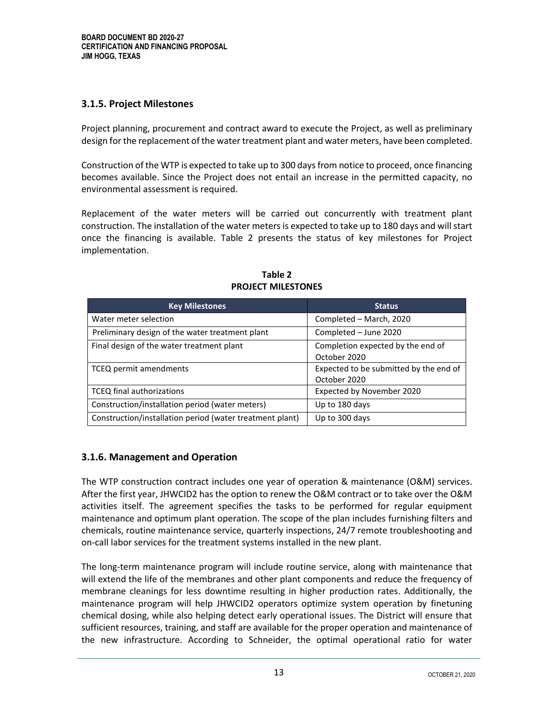#### <span id="page-16-0"></span>**3.1.5. Project Milestones**

Project planning, procurement and contract award to execute the Project, as well as preliminary design for the replacement of the water treatment plant and water meters, have been completed.

Construction of the WTP is expected to take up to 300 days from notice to proceed, once financing becomes available. Since the Project does not entail an increase in the permitted capacity, no environmental assessment is required.

Replacement of the water meters will be carried out concurrently with treatment plant construction. The installation of the water meters is expected to take up to 180 days and will start once the financing is available. Table 2 presents the status of key milestones for Project implementation.

| <b>Key Milestones</b>                                    | Status                                                 |
|----------------------------------------------------------|--------------------------------------------------------|
| Water meter selection                                    | Completed - March, 2020                                |
| Preliminary design of the water treatment plant          | Completed - June 2020                                  |
| Final design of the water treatment plant                | Completion expected by the end of<br>October 2020      |
| TCEQ permit amendments                                   | Expected to be submitted by the end of<br>October 2020 |
| <b>TCEQ final authorizations</b>                         | Expected by November 2020                              |
| Construction/installation period (water meters)          | Up to 180 days                                         |
| Construction/installation period (water treatment plant) | Up to 300 days                                         |

**Table 2 PROJECT MILESTONES**

#### <span id="page-16-1"></span>**3.1.6. Management and Operation**

The WTP construction contract includes one year of operation & maintenance (O&M) services. After the first year, JHWCID2 has the option to renew the O&M contract or to take over the O&M activities itself. The agreement specifies the tasks to be performed for regular equipment maintenance and optimum plant operation. The scope of the plan includes furnishing filters and chemicals, routine maintenance service, quarterly inspections, 24/7 remote troubleshooting and on-call labor services for the treatment systems installed in the new plant.

The long-term maintenance program will include routine service, along with maintenance that will extend the life of the membranes and other plant components and reduce the frequency of membrane cleanings for less downtime resulting in higher production rates. Additionally, the maintenance program will help JHWCID2 operators optimize system operation by finetuning chemical dosing, while also helping detect early operational issues. The District will ensure that sufficient resources, training, and staff are available for the proper operation and maintenance of the new infrastructure. According to Schneider, the optimal operational ratio for water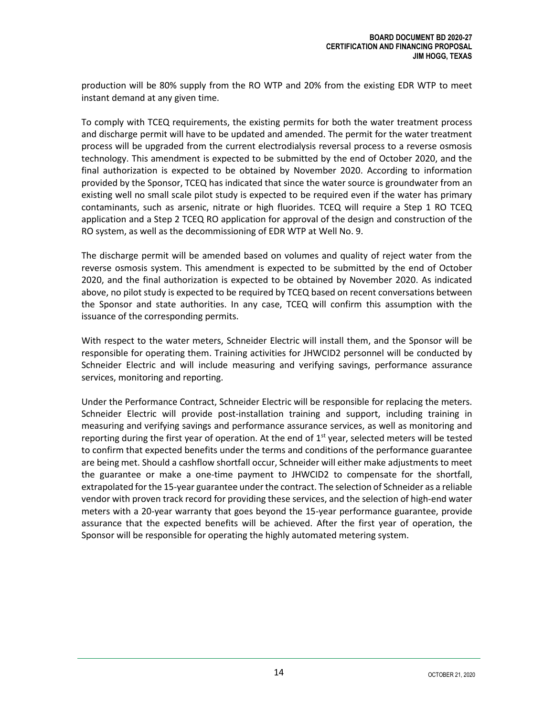production will be 80% supply from the RO WTP and 20% from the existing EDR WTP to meet instant demand at any given time.

To comply with TCEQ requirements, the existing permits for both the water treatment process and discharge permit will have to be updated and amended. The permit for the water treatment process will be upgraded from the current electrodialysis reversal process to a reverse osmosis technology. This amendment is expected to be submitted by the end of October 2020, and the final authorization is expected to be obtained by November 2020. According to information provided by the Sponsor, TCEQ has indicated that since the water source is groundwater from an existing well no small scale pilot study is expected to be required even if the water has primary contaminants, such as arsenic, nitrate or high fluorides. TCEQ will require a Step 1 RO TCEQ application and a Step 2 TCEQ RO application for approval of the design and construction of the RO system, as well as the decommissioning of EDR WTP at Well No. 9.

The discharge permit will be amended based on volumes and quality of reject water from the reverse osmosis system. This amendment is expected to be submitted by the end of October 2020, and the final authorization is expected to be obtained by November 2020. As indicated above, no pilot study is expected to be required by TCEQ based on recent conversations between the Sponsor and state authorities. In any case, TCEQ will confirm this assumption with the issuance of the corresponding permits.

With respect to the water meters, Schneider Electric will install them, and the Sponsor will be responsible for operating them. Training activities for JHWCID2 personnel will be conducted by Schneider Electric and will include measuring and verifying savings, performance assurance services, monitoring and reporting.

<span id="page-17-0"></span>Under the Performance Contract, Schneider Electric will be responsible for replacing the meters. Schneider Electric will provide post-installation training and support, including training in measuring and verifying savings and performance assurance services, as well as monitoring and reporting during the first year of operation. At the end of  $1<sup>st</sup>$  year, selected meters will be tested to confirm that expected benefits under the terms and conditions of the performance guarantee are being met. Should a cashflow shortfall occur, Schneider will either make adjustments to meet the guarantee or make a one-time payment to JHWCID2 to compensate for the shortfall, extrapolated for the 15-year guarantee under the contract. The selection of Schneider as a reliable vendor with proven track record for providing these services, and the selection of high-end water meters with a 20-year warranty that goes beyond the 15-year performance guarantee, provide assurance that the expected benefits will be achieved. After the first year of operation, the Sponsor will be responsible for operating the highly automated metering system.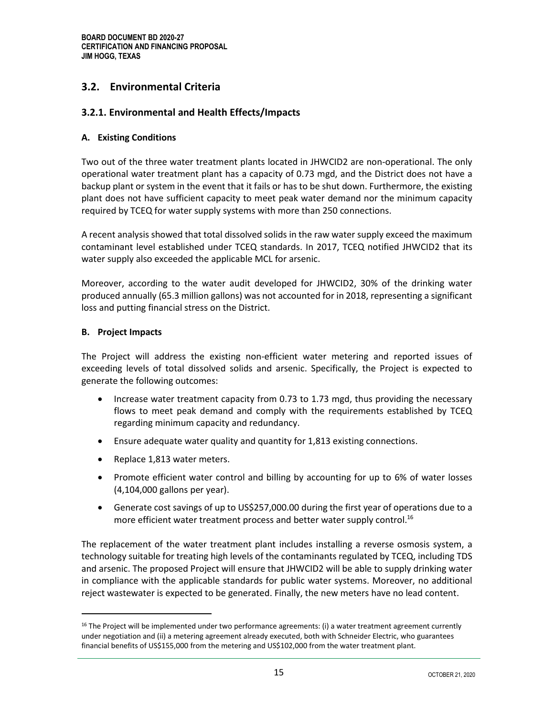### **3.2. Environmental Criteria**

#### <span id="page-18-0"></span>**3.2.1. Environmental and Health Effects/Impacts**

#### <span id="page-18-1"></span>**A. Existing Conditions**

Two out of the three water treatment plants located in JHWCID2 are non-operational. The only operational water treatment plant has a capacity of 0.73 mgd, and the District does not have a backup plant or system in the event that it fails or has to be shut down. Furthermore, the existing plant does not have sufficient capacity to meet peak water demand nor the minimum capacity required by TCEQ for water supply systems with more than 250 connections.

A recent analysis showed that total dissolved solids in the raw water supply exceed the maximum contaminant level established under TCEQ standards. In 2017, TCEQ notified JHWCID2 that its water supply also exceeded the applicable MCL for arsenic.

Moreover, according to the water audit developed for JHWCID2, 30% of the drinking water produced annually (65.3 million gallons) was not accounted for in 2018, representing a significant loss and putting financial stress on the District.

#### <span id="page-18-2"></span>**B. Project Impacts**

The Project will address the existing non-efficient water metering and reported issues of exceeding levels of total dissolved solids and arsenic. Specifically, the Project is expected to generate the following outcomes:

- Increase water treatment capacity from 0.73 to 1.73 mgd, thus providing the necessary flows to meet peak demand and comply with the requirements established by TCEQ regarding minimum capacity and redundancy.
- Ensure adequate water quality and quantity for 1,813 existing connections.
- Replace 1,813 water meters.
- Promote efficient water control and billing by accounting for up to 6% of water losses (4,104,000 gallons per year).
- Generate cost savings of up to US\$257,000.00 during the first year of operations due to a more efficient water treatment process and better water supply control. 16

The replacement of the water treatment plant includes installing a reverse osmosis system, a technology suitable for treating high levels of the contaminants regulated by TCEQ, including TDS and arsenic. The proposed Project will ensure that JHWCID2 will be able to supply drinking water in compliance with the applicable standards for public water systems. Moreover, no additional reject wastewater is expected to be generated. Finally, the new meters have no lead content.

<sup>&</sup>lt;sup>16</sup> The Project will be implemented under two performance agreements: (i) a water treatment agreement currently under negotiation and (ii) a metering agreement already executed, both with Schneider Electric, who guarantees financial benefits of US\$155,000 from the metering and US\$102,000 from the water treatment plant.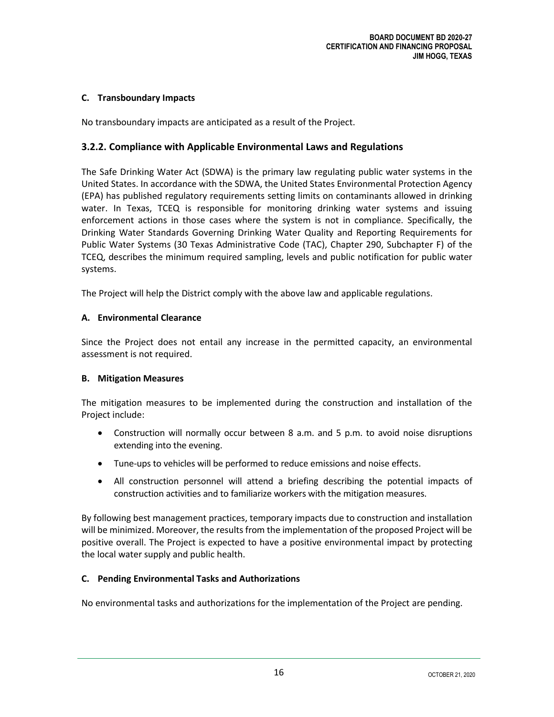#### <span id="page-19-0"></span>**C. Transboundary Impacts**

No transboundary impacts are anticipated as a result of the Project.

#### <span id="page-19-1"></span>**3.2.2. Compliance with Applicable Environmental Laws and Regulations**

The Safe Drinking Water Act (SDWA) is the primary law regulating public water systems in the United States. In accordance with the SDWA, the United States Environmental Protection Agency (EPA) has published regulatory requirements setting limits on contaminants allowed in drinking water. In Texas, TCEQ is responsible for monitoring drinking water systems and issuing enforcement actions in those cases where the system is not in compliance. Specifically, the Drinking Water Standards Governing Drinking Water Quality and Reporting Requirements for Public Water Systems (30 Texas Administrative Code (TAC), Chapter 290, Subchapter F) of the TCEQ, describes the minimum required sampling, levels and public notification for public water systems.

The Project will help the District comply with the above law and applicable regulations.

#### <span id="page-19-2"></span>**A. Environmental Clearance**

Since the Project does not entail any increase in the permitted capacity, an environmental assessment is not required.

#### <span id="page-19-3"></span>**B. Mitigation Measures**

The mitigation measures to be implemented during the construction and installation of the Project include:

- Construction will normally occur between 8 a.m. and 5 p.m. to avoid noise disruptions extending into the evening.
- Tune-ups to vehicles will be performed to reduce emissions and noise effects.
- All construction personnel will attend a briefing describing the potential impacts of construction activities and to familiarize workers with the mitigation measures.

By following best management practices, temporary impacts due to construction and installation will be minimized. Moreover, the results from the implementation of the proposed Project will be positive overall. The Project is expected to have a positive environmental impact by protecting the local water supply and public health.

#### <span id="page-19-4"></span>**C. Pending Environmental Tasks and Authorizations**

<span id="page-19-5"></span>No environmental tasks and authorizations for the implementation of the Project are pending.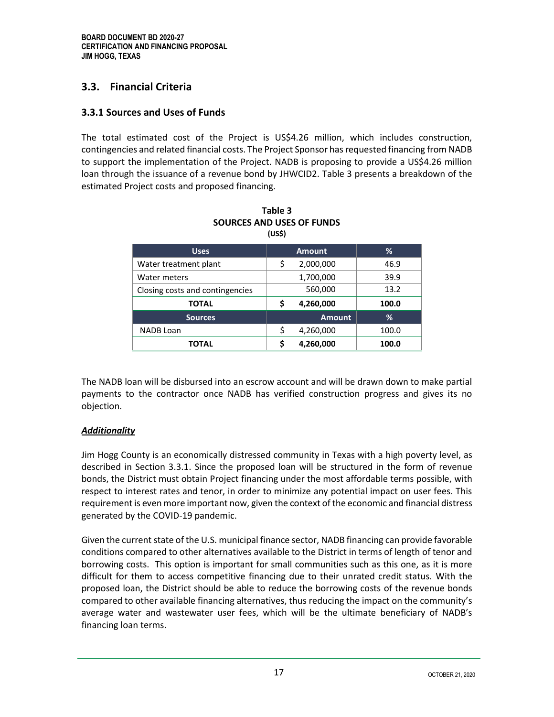#### **3.3. Financial Criteria**

#### <span id="page-20-0"></span>**3.3.1 Sources and Uses of Funds**

The total estimated cost of the Project is US\$4.26 million, which includes construction, contingencies and related financial costs. The Project Sponsor has requested financing from NADB to support the implementation of the Project. NADB is proposing to provide a US\$4.26 million loan through the issuance of a revenue bond by JHWCID2. Table 3 presents a breakdown of the estimated Project costs and proposed financing.

| <b>Uses</b>                     |    | <b>Amount</b> | %     |
|---------------------------------|----|---------------|-------|
| Water treatment plant           | \$ | 2,000,000     | 46.9  |
| Water meters                    |    | 1,700,000     | 39.9  |
| Closing costs and contingencies |    | 560,000       | 13.2  |
| TOTAL                           | S  | 4,260,000     | 100.0 |
| <b>Sources</b>                  |    | <b>Amount</b> | %     |
| <b>NADB Loan</b>                | \$ | 4,260,000     | 100.0 |
| TOTAL                           | ς  | 4,260,000     | 100.0 |

| Table 3                   |
|---------------------------|
| SOURCES AND USES OF FUNDS |
| (USS)                     |

The NADB loan will be disbursed into an escrow account and will be drawn down to make partial payments to the contractor once NADB has verified construction progress and gives its no objection.

#### *Additionality*

<span id="page-20-1"></span>Jim Hogg County is an economically distressed community in Texas with a high poverty level, as described in Section 3.3.1. Since the proposed loan will be structured in the form of revenue bonds, the District must obtain Project financing under the most affordable terms possible, with respect to interest rates and tenor, in order to minimize any potential impact on user fees. This requirement is even more important now, given the context of the economic and financial distress generated by the COVID-19 pandemic.

Given the current state of the U.S. municipal finance sector, NADB financing can provide favorable conditions compared to other alternatives available to the District in terms of length of tenor and borrowing costs. This option is important for small communities such as this one, as it is more difficult for them to access competitive financing due to their unrated credit status. With the proposed loan, the District should be able to reduce the borrowing costs of the revenue bonds compared to other available financing alternatives, thus reducing the impact on the community's average water and wastewater user fees, which will be the ultimate beneficiary of NADB's financing loan terms.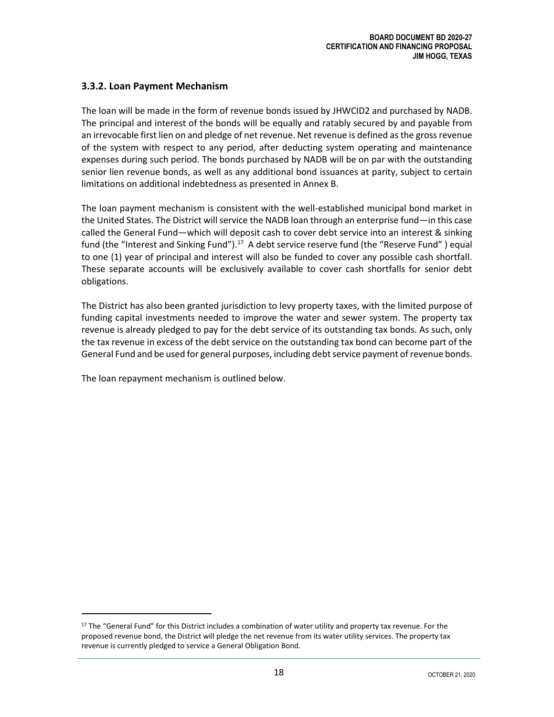#### **3.3.2. Loan Payment Mechanism**

The loan will be made in the form of revenue bonds issued by JHWCID2 and purchased by NADB. The principal and interest of the bonds will be equally and ratably secured by and payable from an irrevocable first lien on and pledge of net revenue. Net revenue is defined as the gross revenue of the system with respect to any period, after deducting system operating and maintenance expenses during such period. The bonds purchased by NADB will be on par with the outstanding senior lien revenue bonds, as well as any additional bond issuances at parity, subject to certain limitations on additional indebtedness as presented in Annex B.

The loan payment mechanism is consistent with the well-established municipal bond market in the United States. The District will service the NADB loan through an enterprise fund—in this case called the General Fund—which will deposit cash to cover debt service into an interest & sinking fund (the "Interest and Sinking Fund").<sup>17</sup> A debt service reserve fund (the "Reserve Fund") equal to one (1) year of principal and interest will also be funded to cover any possible cash shortfall. These separate accounts will be exclusively available to cover cash shortfalls for senior debt obligations.

The District has also been granted jurisdiction to levy property taxes, with the limited purpose of funding capital investments needed to improve the water and sewer system. The property tax revenue is already pledged to pay for the debt service of its outstanding tax bonds. As such, only the tax revenue in excess of the debt service on the outstanding tax bond can become part of the General Fund and be used for general purposes, including debt service payment of revenue bonds.

The loan repayment mechanism is outlined below.

<sup>&</sup>lt;sup>17</sup> The "General Fund" for this District includes a combination of water utility and property tax revenue. For the proposed revenue bond, the District will pledge the net revenue from its water utility services. The property tax revenue is currently pledged to service a General Obligation Bond.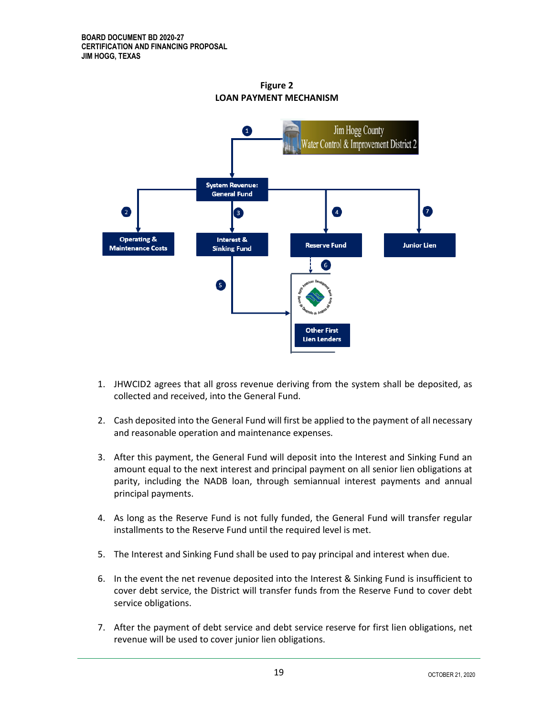

**Figure 2 LOAN PAYMENT MECHANISM**

- 1. JHWCID2 agrees that all gross revenue deriving from the system shall be deposited, as collected and received, into the General Fund.
- 2. Cash deposited into the General Fund will first be applied to the payment of all necessary and reasonable operation and maintenance expenses.
- 3. After this payment, the General Fund will deposit into the Interest and Sinking Fund an amount equal to the next interest and principal payment on all senior lien obligations at parity, including the NADB loan, through semiannual interest payments and annual principal payments.
- 4. As long as the Reserve Fund is not fully funded, the General Fund will transfer regular installments to the Reserve Fund until the required level is met.
- 5. The Interest and Sinking Fund shall be used to pay principal and interest when due.
- 6. In the event the net revenue deposited into the Interest & Sinking Fund is insufficient to cover debt service, the District will transfer funds from the Reserve Fund to cover debt service obligations.
- 7. After the payment of debt service and debt service reserve for first lien obligations, net revenue will be used to cover junior lien obligations.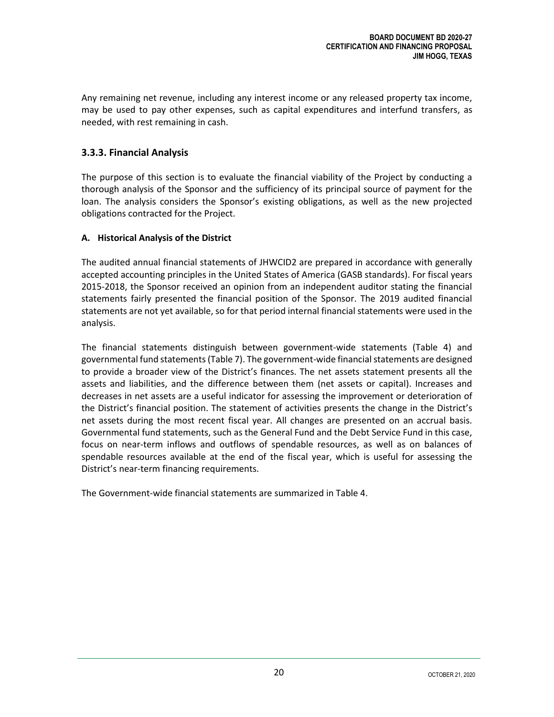Any remaining net revenue, including any interest income or any released property tax income, may be used to pay other expenses, such as capital expenditures and interfund transfers, as needed, with rest remaining in cash.

#### <span id="page-23-0"></span>**3.3.3. Financial Analysis**

The purpose of this section is to evaluate the financial viability of the Project by conducting a thorough analysis of the Sponsor and the sufficiency of its principal source of payment for the loan. The analysis considers the Sponsor's existing obligations, as well as the new projected obligations contracted for the Project.

#### <span id="page-23-1"></span>**A. Historical Analysis of the District**

The audited annual financial statements of JHWCID2 are prepared in accordance with generally accepted accounting principles in the United States of America (GASB standards). For fiscal years 2015-2018, the Sponsor received an opinion from an independent auditor stating the financial statements fairly presented the financial position of the Sponsor. The 2019 audited financial statements are not yet available, so for that period internal financial statements were used in the analysis.

The financial statements distinguish between government-wide statements (Table 4) and governmental fund statements (Table 7). The government-wide financial statements are designed to provide a broader view of the District's finances. The net assets statement presents all the assets and liabilities, and the difference between them (net assets or capital). Increases and decreases in net assets are a useful indicator for assessing the improvement or deterioration of the District's financial position. The statement of activities presents the change in the District's net assets during the most recent fiscal year. All changes are presented on an accrual basis. Governmental fund statements, such as the General Fund and the Debt Service Fund in this case, focus on near-term inflows and outflows of spendable resources, as well as on balances of spendable resources available at the end of the fiscal year, which is useful for assessing the District's near-term financing requirements.

The Government-wide financial statements are summarized in Table 4.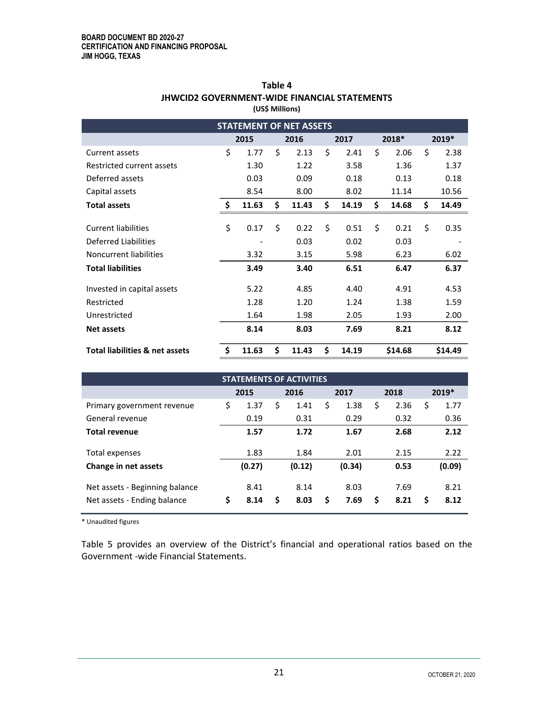| <b>STATEMENT OF NET ASSETS</b>            |      |       |      |       |      |       |       |         |       |         |
|-------------------------------------------|------|-------|------|-------|------|-------|-------|---------|-------|---------|
|                                           | 2015 |       | 2016 |       | 2017 |       | 2018* |         | 2019* |         |
| Current assets                            | \$   | 1.77  | \$   | 2.13  | \$   | 2.41  | \$    | 2.06    | \$    | 2.38    |
| Restricted current assets                 |      | 1.30  |      | 1.22  |      | 3.58  |       | 1.36    |       | 1.37    |
| Deferred assets                           |      | 0.03  |      | 0.09  |      | 0.18  |       | 0.13    |       | 0.18    |
| Capital assets                            |      | 8.54  |      | 8.00  |      | 8.02  |       | 11.14   |       | 10.56   |
| <b>Total assets</b>                       | \$   | 11.63 | \$   | 11.43 | \$   | 14.19 | \$    | 14.68   | \$    | 14.49   |
|                                           |      |       |      |       |      |       |       |         |       |         |
| <b>Current liabilities</b>                | \$   | 0.17  | \$   | 0.22  | \$   | 0.51  | \$    | 0.21    | \$    | 0.35    |
| Deferred Liabilities                      |      |       |      | 0.03  |      | 0.02  |       | 0.03    |       |         |
| Noncurrent liabilities                    |      | 3.32  |      | 3.15  |      | 5.98  |       | 6.23    |       | 6.02    |
| <b>Total liabilities</b>                  |      | 3.49  |      | 3.40  |      | 6.51  |       | 6.47    |       | 6.37    |
| Invested in capital assets                |      | 5.22  |      | 4.85  |      | 4.40  |       | 4.91    |       | 4.53    |
| Restricted                                |      | 1.28  |      | 1.20  |      | 1.24  |       | 1.38    |       | 1.59    |
| Unrestricted                              |      | 1.64  |      | 1.98  |      | 2.05  |       | 1.93    |       | 2.00    |
| <b>Net assets</b>                         |      | 8.14  |      | 8.03  |      | 7.69  |       | 8.21    |       | 8.12    |
| <b>Total liabilities &amp; net assets</b> | \$   | 11.63 | \$   | 11.43 | \$   | 14.19 |       | \$14.68 |       | \$14.49 |

#### **Table 4 JHWCID2 GOVERNMENT-WIDE FINANCIAL STATEMENTS (US\$ Millions)**

| <b>STATEMENTS OF ACTIVITIES</b> |    |        |    |        |    |        |    |      |            |
|---------------------------------|----|--------|----|--------|----|--------|----|------|------------|
|                                 |    | 2015   |    | 2016   |    | 2017   |    | 2018 | $2019*$    |
| Primary government revenue      | \$ | 1.37   | \$ | 1.41   | \$ | 1.38   | \$ | 2.36 | \$<br>1.77 |
| General revenue                 |    | 0.19   |    | 0.31   |    | 0.29   |    | 0.32 | 0.36       |
| <b>Total revenue</b>            |    | 1.57   |    | 1.72   |    | 1.67   |    | 2.68 | 2.12       |
| Total expenses                  |    | 1.83   |    | 1.84   |    | 2.01   |    | 2.15 | 2.22       |
| Change in net assets            |    | (0.27) |    | (0.12) |    | (0.34) |    | 0.53 | (0.09)     |
| Net assets - Beginning balance  |    | 8.41   |    | 8.14   |    | 8.03   |    | 7.69 | 8.21       |
| Net assets - Ending balance     | \$ | 8.14   | Ś  | 8.03   | Ś  | 7.69   | \$ | 8.21 | \$<br>8.12 |

\* Unaudited figures

Table 5 provides an overview of the District's financial and operational ratios based on the Government -wide Financial Statements.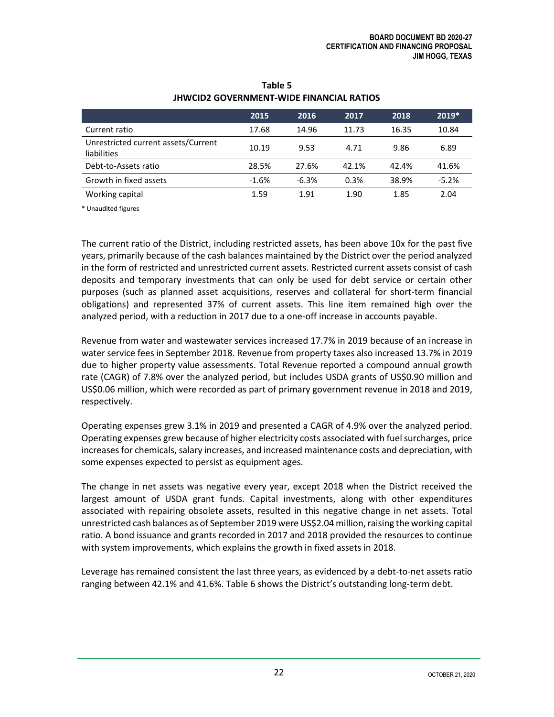|                                                    | 2015    | 2016    | 2017  | 2018  | 2019*   |
|----------------------------------------------------|---------|---------|-------|-------|---------|
| Current ratio                                      | 17.68   | 14.96   | 11.73 | 16.35 | 10.84   |
| Unrestricted current assets/Current<br>liabilities | 10.19   | 9.53    | 4.71  | 9.86  | 6.89    |
| Debt-to-Assets ratio                               | 28.5%   | 27.6%   | 42.1% | 42.4% | 41.6%   |
| Growth in fixed assets                             | $-1.6%$ | $-6.3%$ | 0.3%  | 38.9% | $-5.2%$ |
| Working capital                                    | 1.59    | 1.91    | 1.90  | 1.85  | 2.04    |

#### **Table 5 JHWCID2 GOVERNMENT-WIDE FINANCIAL RATIOS**

\* Unaudited figures

The current ratio of the District, including restricted assets, has been above 10x for the past five years, primarily because of the cash balances maintained by the District over the period analyzed in the form of restricted and unrestricted current assets. Restricted current assets consist of cash deposits and temporary investments that can only be used for debt service or certain other purposes (such as planned asset acquisitions, reserves and collateral for short-term financial obligations) and represented 37% of current assets. This line item remained high over the analyzed period, with a reduction in 2017 due to a one-off increase in accounts payable.

Revenue from water and wastewater services increased 17.7% in 2019 because of an increase in water service fees in September 2018. Revenue from property taxes also increased 13.7% in 2019 due to higher property value assessments. Total Revenue reported a compound annual growth rate (CAGR) of 7.8% over the analyzed period, but includes USDA grants of US\$0.90 million and US\$0.06 million, which were recorded as part of primary government revenue in 2018 and 2019, respectively.

Operating expenses grew 3.1% in 2019 and presented a CAGR of 4.9% over the analyzed period. Operating expenses grew because of higher electricity costs associated with fuel surcharges, price increases for chemicals, salary increases, and increased maintenance costs and depreciation, with some expenses expected to persist as equipment ages.

The change in net assets was negative every year, except 2018 when the District received the largest amount of USDA grant funds. Capital investments, along with other expenditures associated with repairing obsolete assets, resulted in this negative change in net assets. Total unrestricted cash balances as of September 2019 were US\$2.04 million, raising the working capital ratio. A bond issuance and grants recorded in 2017 and 2018 provided the resources to continue with system improvements, which explains the growth in fixed assets in 2018.

Leverage has remained consistent the last three years, as evidenced by a debt-to-net assets ratio ranging between 42.1% and 41.6%. Table 6 shows the District's outstanding long-term debt.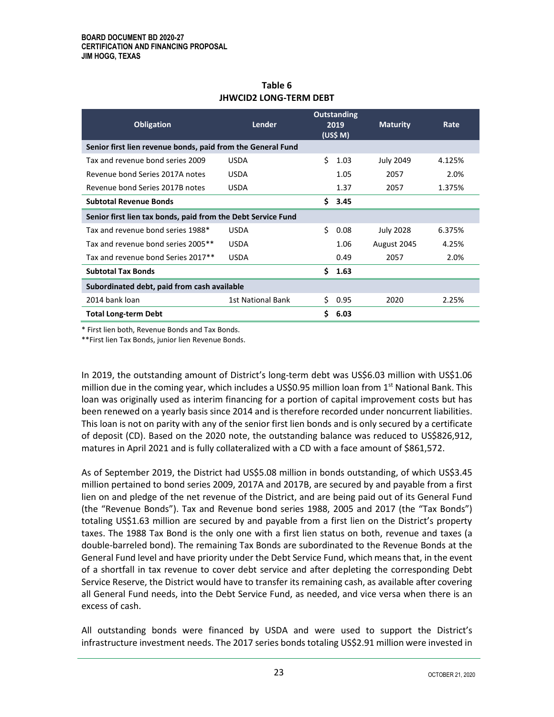| Table 6                       |
|-------------------------------|
| <b>JHWCID2 LONG-TERM DEBT</b> |

| <b>Obligation</b>                                            | <b>Lender</b>     | <b>Outstanding</b><br>2019<br>(US\$M) |         | <b>Maturity</b>  | Rate   |
|--------------------------------------------------------------|-------------------|---------------------------------------|---------|------------------|--------|
| Senior first lien revenue bonds, paid from the General Fund  |                   |                                       |         |                  |        |
| Tax and revenue bond series 2009                             | <b>USDA</b>       | Ś.                                    | 1.03    | <b>July 2049</b> | 4.125% |
| Revenue bond Series 2017A notes                              | <b>USDA</b>       |                                       | 1.05    | 2057             | 2.0%   |
| Revenue bond Series 2017B notes                              | <b>USDA</b>       |                                       | 1.37    | 2057             | 1.375% |
| <b>Subtotal Revenue Bonds</b>                                |                   |                                       | 5, 3.45 |                  |        |
| Senior first lien tax bonds, paid from the Debt Service Fund |                   |                                       |         |                  |        |
| Tax and revenue bond series 1988*                            | <b>USDA</b>       | Ś.                                    | 0.08    | <b>July 2028</b> | 6.375% |
| Tax and revenue bond series 2005**                           | <b>USDA</b>       |                                       | 1.06    | August 2045      | 4.25%  |
| Tax and revenue bond Series 2017**                           | <b>USDA</b>       |                                       | 0.49    | 2057             | 2.0%   |
| <b>Subtotal Tax Bonds</b>                                    |                   | \$.                                   | 1.63    |                  |        |
| Subordinated debt, paid from cash available                  |                   |                                       |         |                  |        |
| 2014 bank loan                                               | 1st National Bank | Ś.                                    | 0.95    | 2020             | 2.25%  |
| <b>Total Long-term Debt</b>                                  |                   | Ś.                                    | 6.03    |                  |        |

\* First lien both, Revenue Bonds and Tax Bonds.

\*\*First lien Tax Bonds, junior lien Revenue Bonds.

In 2019, the outstanding amount of District's long-term debt was US\$6.03 million with US\$1.06 million due in the coming year, which includes a US\$0.95 million loan from  $1<sup>st</sup>$  National Bank. This loan was originally used as interim financing for a portion of capital improvement costs but has been renewed on a yearly basis since 2014 and is therefore recorded under noncurrent liabilities. This loan is not on parity with any of the senior first lien bonds and is only secured by a certificate of deposit (CD). Based on the 2020 note, the outstanding balance was reduced to US\$826,912, matures in April 2021 and is fully collateralized with a CD with a face amount of \$861,572.

As of September 2019, the District had US\$5.08 million in bonds outstanding, of which US\$3.45 million pertained to bond series 2009, 2017A and 2017B, are secured by and payable from a first lien on and pledge of the net revenue of the District, and are being paid out of its General Fund (the "Revenue Bonds"). Tax and Revenue bond series 1988, 2005 and 2017 (the "Tax Bonds") totaling US\$1.63 million are secured by and payable from a first lien on the District's property taxes. The 1988 Tax Bond is the only one with a first lien status on both, revenue and taxes (a double-barreled bond). The remaining Tax Bonds are subordinated to the Revenue Bonds at the General Fund level and have priority under the Debt Service Fund, which means that, in the event of a shortfall in tax revenue to cover debt service and after depleting the corresponding Debt Service Reserve, the District would have to transfer its remaining cash, as available after covering all General Fund needs, into the Debt Service Fund, as needed, and vice versa when there is an excess of cash.

All outstanding bonds were financed by USDA and were used to support the District's infrastructure investment needs. The 2017 series bonds totaling US\$2.91 million were invested in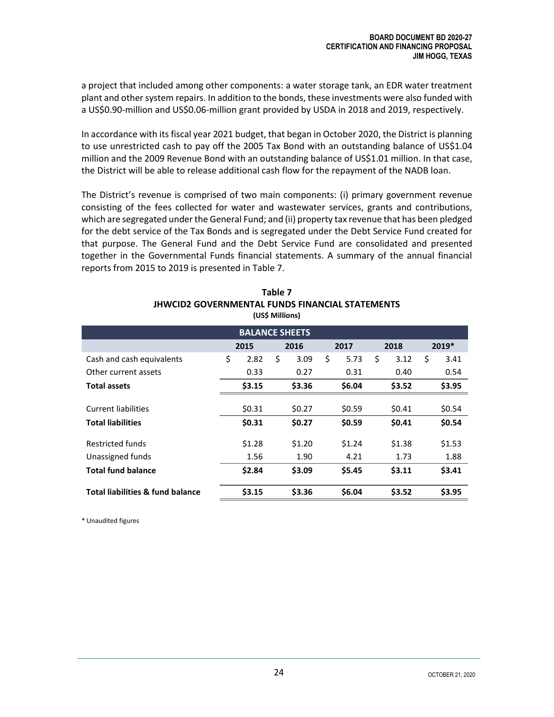a project that included among other components: a water storage tank, an EDR water treatment plant and other system repairs. In addition to the bonds, these investments were also funded with a US\$0.90-million and US\$0.06-million grant provided by USDA in 2018 and 2019, respectively.

In accordance with its fiscal year 2021 budget, that began in October 2020, the District is planning to use unrestricted cash to pay off the 2005 Tax Bond with an outstanding balance of US\$1.04 million and the 2009 Revenue Bond with an outstanding balance of US\$1.01 million. In that case, the District will be able to release additional cash flow for the repayment of the NADB loan.

The District's revenue is comprised of two main components: (i) primary government revenue consisting of the fees collected for water and wastewater services, grants and contributions, which are segregated under the General Fund; and (ii) property tax revenue that has been pledged for the debt service of the Tax Bonds and is segregated under the Debt Service Fund created for that purpose. The General Fund and the Debt Service Fund are consolidated and presented together in the Governmental Funds financial statements. A summary of the annual financial reports from 2015 to 2019 is presented in Table 7.

| <b>BALANCE SHEETS</b>                       |    |        |    |        |    |        |    |        |            |
|---------------------------------------------|----|--------|----|--------|----|--------|----|--------|------------|
|                                             |    | 2015   |    | 2016   |    | 2017   |    | 2018   | 2019*      |
| Cash and cash equivalents                   | \$ | 2.82   | \$ | 3.09   | \$ | 5.73   | \$ | 3.12   | \$<br>3.41 |
| Other current assets                        |    | 0.33   |    | 0.27   |    | 0.31   |    | 0.40   | 0.54       |
| <b>Total assets</b>                         |    | \$3.15 |    | \$3.36 |    | \$6.04 |    | \$3.52 | \$3.95     |
|                                             |    |        |    |        |    |        |    |        |            |
| Current liabilities                         |    | \$0.31 |    | \$0.27 |    | \$0.59 |    | \$0.41 | \$0.54     |
| <b>Total liabilities</b>                    |    | \$0.31 |    | \$0.27 |    | \$0.59 |    | \$0.41 | \$0.54     |
| Restricted funds                            |    | \$1.28 |    | \$1.20 |    | \$1.24 |    | \$1.38 | \$1.53     |
| Unassigned funds                            |    | 1.56   |    | 1.90   |    | 4.21   |    | 1.73   | 1.88       |
| <b>Total fund balance</b>                   |    | \$2.84 |    | \$3.09 |    | \$5.45 |    | \$3.11 | \$3.41     |
| <b>Total liabilities &amp; fund balance</b> |    | \$3.15 |    | \$3.36 |    | \$6.04 |    | \$3.52 | \$3.95     |

| Table 7                                         |
|-------------------------------------------------|
| JHWCID2 GOVERNMENTAL FUNDS FINANCIAL STATEMENTS |
| (US\$ Millions)                                 |

\* Unaudited figures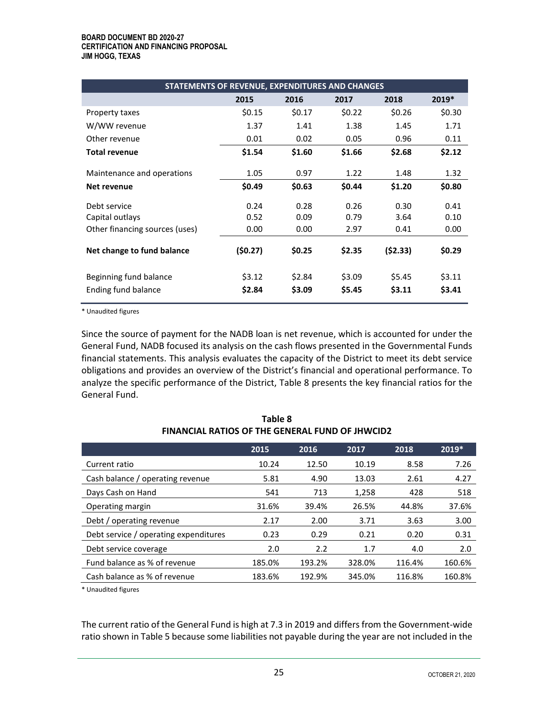#### **BOARD DOCUMENT BD 2020-27 CERTIFICATION AND FINANCING PROPOSAL JIM HOGG, TEXAS**

| STATEMENTS OF REVENUE, EXPENDITURES AND CHANGES                   |                      |                      |                      |                      |                      |
|-------------------------------------------------------------------|----------------------|----------------------|----------------------|----------------------|----------------------|
|                                                                   | 2015                 | 2016                 | 2017                 | 2018                 | $2019*$              |
| Property taxes                                                    | \$0.15               | \$0.17               | \$0.22               | \$0.26               | \$0.30               |
| W/WW revenue                                                      | 1.37                 | 1.41                 | 1.38                 | 1.45                 | 1.71                 |
| Other revenue                                                     | 0.01                 | 0.02                 | 0.05                 | 0.96                 | 0.11                 |
| <b>Total revenue</b>                                              | \$1.54               | \$1.60               | \$1.66               | \$2.68               | \$2.12               |
| Maintenance and operations                                        | 1.05                 | 0.97                 | 1.22                 | 1.48                 | 1.32                 |
| Net revenue                                                       | \$0.49               | \$0.63               | \$0.44               | \$1.20               | \$0.80               |
| Debt service<br>Capital outlays<br>Other financing sources (uses) | 0.24<br>0.52<br>0.00 | 0.28<br>0.09<br>0.00 | 0.26<br>0.79<br>2.97 | 0.30<br>3.64<br>0.41 | 0.41<br>0.10<br>0.00 |
| Net change to fund balance                                        | (\$0.27)             | \$0.25               | \$2.35               | (\$2.33)             | \$0.29               |
| Beginning fund balance<br>Ending fund balance                     | \$3.12<br>\$2.84     | \$2.84<br>\$3.09     | \$3.09<br>\$5.45     | \$5.45<br>\$3.11     | \$3.11<br>\$3.41     |

\* Unaudited figures

Since the source of payment for the NADB loan is net revenue, which is accounted for under the General Fund, NADB focused its analysis on the cash flows presented in the Governmental Funds financial statements. This analysis evaluates the capacity of the District to meet its debt service obligations and provides an overview of the District's financial and operational performance. To analyze the specific performance of the District, Table 8 presents the key financial ratios for the General Fund.

|                                       | 2015   | 2016   | 2017   | 2018   | 2019*  |
|---------------------------------------|--------|--------|--------|--------|--------|
| Current ratio                         | 10.24  | 12.50  | 10.19  | 8.58   | 7.26   |
| Cash balance / operating revenue      | 5.81   | 4.90   | 13.03  | 2.61   | 4.27   |
| Days Cash on Hand                     | 541    | 713    | 1,258  | 428    | 518    |
| Operating margin                      | 31.6%  | 39.4%  | 26.5%  | 44.8%  | 37.6%  |
| Debt / operating revenue              | 2.17   | 2.00   | 3.71   | 3.63   | 3.00   |
| Debt service / operating expenditures | 0.23   | 0.29   | 0.21   | 0.20   | 0.31   |
| Debt service coverage                 | 2.0    | 2.2    | 1.7    | 4.0    | 2.0    |
| Fund balance as % of revenue          | 185.0% | 193.2% | 328.0% | 116.4% | 160.6% |
| Cash balance as % of revenue          | 183.6% | 192.9% | 345.0% | 116.8% | 160.8% |

**Table 8 FINANCIAL RATIOS OF THE GENERAL FUND OF JHWCID2**

\* Unaudited figures

The current ratio of the General Fund is high at 7.3 in 2019 and differs from the Government-wide ratio shown in Table 5 because some liabilities not payable during the year are not included in the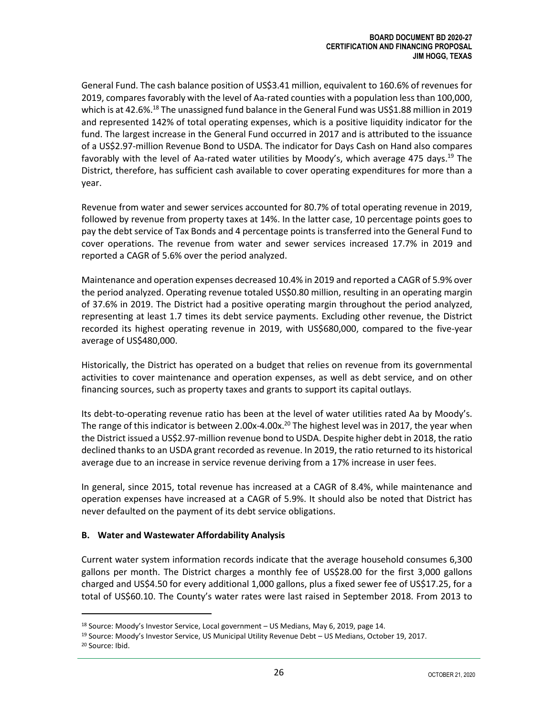General Fund. The cash balance position of US\$3.41 million, equivalent to 160.6% of revenues for 2019, compares favorably with the level of Aa-rated counties with a population less than 100,000, which is at 42.6%.<sup>18</sup> The unassigned fund balance in the General Fund was US\$1.88 million in 2019 and represented 142% of total operating expenses, which is a positive liquidity indicator for the fund. The largest increase in the General Fund occurred in 2017 and is attributed to the issuance of a US\$2.97-million Revenue Bond to USDA. The indicator for Days Cash on Hand also compares favorably with the level of Aa-rated water utilities by Moody's, which average 475 days.<sup>19</sup> The District, therefore, has sufficient cash available to cover operating expenditures for more than a year.

Revenue from water and sewer services accounted for 80.7% of total operating revenue in 2019, followed by revenue from property taxes at 14%. In the latter case, 10 percentage points goes to pay the debt service of Tax Bonds and 4 percentage points is transferred into the General Fund to cover operations. The revenue from water and sewer services increased 17.7% in 2019 and reported a CAGR of 5.6% over the period analyzed.

Maintenance and operation expenses decreased 10.4% in 2019 and reported a CAGR of 5.9% over the period analyzed. Operating revenue totaled US\$0.80 million, resulting in an operating margin of 37.6% in 2019. The District had a positive operating margin throughout the period analyzed, representing at least 1.7 times its debt service payments. Excluding other revenue, the District recorded its highest operating revenue in 2019, with US\$680,000, compared to the five-year average of US\$480,000.

Historically, the District has operated on a budget that relies on revenue from its governmental activities to cover maintenance and operation expenses, as well as debt service, and on other financing sources, such as property taxes and grants to support its capital outlays.

Its debt-to-operating revenue ratio has been at the level of water utilities rated Aa by Moody's. The range of this indicator is between 2.00x-4.00x.<sup>20</sup> The highest level was in 2017, the year when the District issued a US\$2.97-million revenue bond to USDA. Despite higher debt in 2018, the ratio declined thanks to an USDA grant recorded as revenue. In 2019, the ratio returned to its historical average due to an increase in service revenue deriving from a 17% increase in user fees.

In general, since 2015, total revenue has increased at a CAGR of 8.4%, while maintenance and operation expenses have increased at a CAGR of 5.9%. It should also be noted that District has never defaulted on the payment of its debt service obligations.

#### <span id="page-29-0"></span>**B. Water and Wastewater Affordability Analysis**

Current water system information records indicate that the average household consumes 6,300 gallons per month. The District charges a monthly fee of US\$28.00 for the first 3,000 gallons charged and US\$4.50 for every additional 1,000 gallons, plus a fixed sewer fee of US\$17.25, for a total of US\$60.10. The County's water rates were last raised in September 2018. From 2013 to

 $18$  Source: Moody's Investor Service, Local government – US Medians, May 6, 2019, page 14.

<sup>19</sup> Source: Moody's Investor Service, US Municipal Utility Revenue Debt – US Medians, October 19, 2017. <sup>20</sup> Source: Ibid.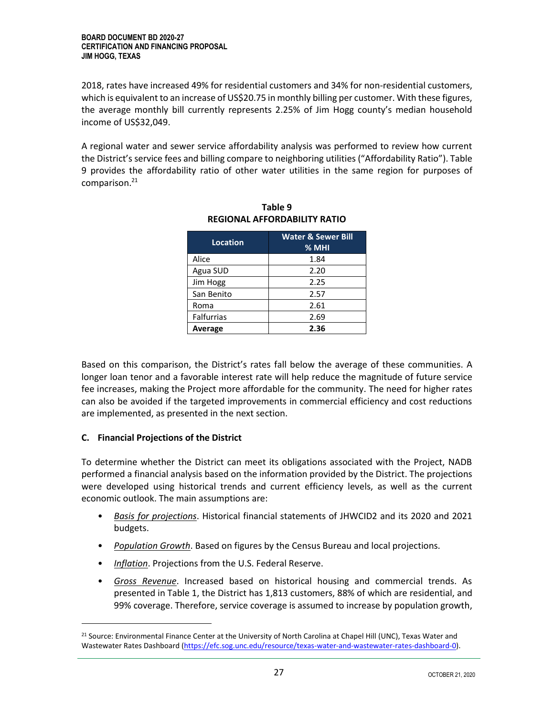2018, rates have increased 49% for residential customers and 34% for non-residential customers, which is equivalent to an increase of US\$20.75 in monthly billing per customer. With these figures, the average monthly bill currently represents 2.25% of Jim Hogg county's median household income of US\$32,049.

A regional water and sewer service affordability analysis was performed to review how current the District's service fees and billing compare to neighboring utilities ("Affordability Ratio"). Table 9 provides the affordability ratio of other water utilities in the same region for purposes of comparison. 21

| Location          | <b>Water &amp; Sewer Bill</b><br>% MHI |
|-------------------|----------------------------------------|
| Alice             | 1.84                                   |
| Agua SUD          | 2.20                                   |
| Jim Hogg          | 2.25                                   |
| San Benito        | 2.57                                   |
| Roma              | 2.61                                   |
| <b>Falfurrias</b> | 2.69                                   |
| Average           | 2.36                                   |

**Table 9 REGIONAL AFFORDABILITY RATIO**

<span id="page-30-0"></span>Based on this comparison, the District's rates fall below the average of these communities. A longer loan tenor and a favorable interest rate will help reduce the magnitude of future service fee increases, making the Project more affordable for the community. The need for higher rates can also be avoided if the targeted improvements in commercial efficiency and cost reductions are implemented, as presented in the next section.

#### **C. Financial Projections of the District**

To determine whether the District can meet its obligations associated with the Project, NADB performed a financial analysis based on the information provided by the District. The projections were developed using historical trends and current efficiency levels, as well as the current economic outlook. The main assumptions are:

- *Basis for projections*. Historical financial statements of JHWCID2 and its 2020 and 2021 budgets.
- *Population Growth*. Based on figures by the Census Bureau and local projections.
- *Inflation*. Projections from the U.S. Federal Reserve.
- *Gross Revenue*. Increased based on historical housing and commercial trends. As presented in Table 1, the District has 1,813 customers, 88% of which are residential, and 99% coverage. Therefore, service coverage is assumed to increase by population growth,

<sup>&</sup>lt;sup>21</sup> Source: Environmental Finance Center at the University of North Carolina at Chapel Hill (UNC), Texas Water and Wastewater Rates Dashboard [\(https://efc.sog.unc.edu/resource/texas-water-and-wastewater-rates-dashboard-0\)](https://efc.sog.unc.edu/resource/texas-water-and-wastewater-rates-dashboard-0).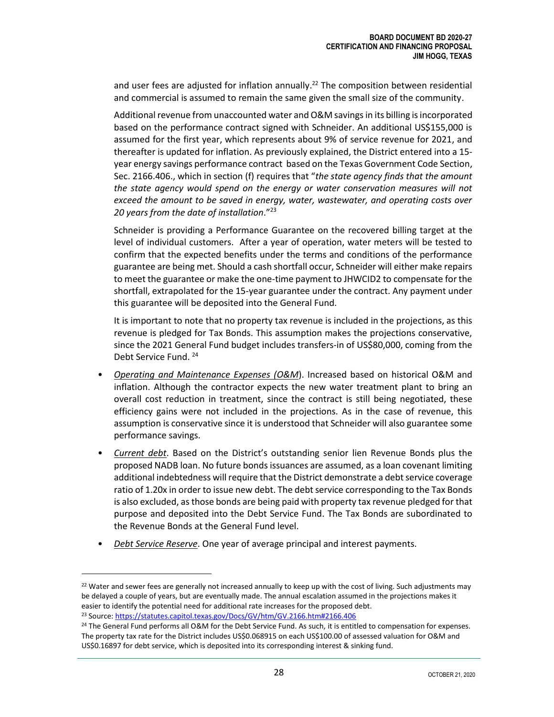and user fees are adjusted for inflation annually. <sup>22</sup> The composition between residential and commercial is assumed to remain the same given the small size of the community.

Additional revenue from unaccounted water and O&M savings in its billing is incorporated based on the performance contract signed with Schneider. An additional US\$155,000 is assumed for the first year, which represents about 9% of service revenue for 2021, and thereafter is updated for inflation. As previously explained, the District entered into a 15 year energy savings performance contract based on the Texas Government Code Section, Sec. 2166.406., which in section (f) requires that "*the state agency finds that the amount the state agency would spend on the energy or water conservation measures will not exceed the amount to be saved in energy, water, wastewater, and operating costs over 20 years from the date of installation*."<sup>23</sup>

Schneider is providing a Performance Guarantee on the recovered billing target at the level of individual customers. After a year of operation, water meters will be tested to confirm that the expected benefits under the terms and conditions of the performance guarantee are being met. Should a cash shortfall occur, Schneider will either make repairs to meet the guarantee or make the one-time payment to JHWCID2 to compensate for the shortfall, extrapolated for the 15-year guarantee under the contract. Any payment under this guarantee will be deposited into the General Fund.

It is important to note that no property tax revenue is included in the projections, as this revenue is pledged for Tax Bonds. This assumption makes the projections conservative, since the 2021 General Fund budget includes transfers-in of US\$80,000, coming from the Debt Service Fund. <sup>24</sup>

- *Operating and Maintenance Expenses (O&M*). Increased based on historical O&M and inflation. Although the contractor expects the new water treatment plant to bring an overall cost reduction in treatment, since the contract is still being negotiated, these efficiency gains were not included in the projections. As in the case of revenue, this assumption is conservative since it is understood that Schneider will also guarantee some performance savings.
- *Current debt*. Based on the District's outstanding senior lien Revenue Bonds plus the proposed NADB loan. No future bonds issuances are assumed, as a loan covenant limiting additional indebtedness will require that the District demonstrate a debt service coverage ratio of 1.20x in order to issue new debt. The debt service corresponding to the Tax Bonds is also excluded, as those bonds are being paid with property tax revenue pledged for that purpose and deposited into the Debt Service Fund. The Tax Bonds are subordinated to the Revenue Bonds at the General Fund level.
- *Debt Service Reserve*. One year of average principal and interest payments.

 $22$  Water and sewer fees are generally not increased annually to keep up with the cost of living. Such adjustments may be delayed a couple of years, but are eventually made. The annual escalation assumed in the projections makes it easier to identify the potential need for additional rate increases for the proposed debt. <sup>23</sup> Source[: https://statutes.capitol.texas.gov/Docs/GV/htm/GV.2166.htm#2166.406](https://statutes.capitol.texas.gov/Docs/GV/htm/GV.2166.htm#2166.406)

<sup>&</sup>lt;sup>24</sup> The General Fund performs all O&M for the Debt Service Fund. As such, it is entitled to compensation for expenses. The property tax rate for the District includes US\$0.068915 on each US\$100.00 of assessed valuation for O&M and

US\$0.16897 for debt service, which is deposited into its corresponding interest & sinking fund.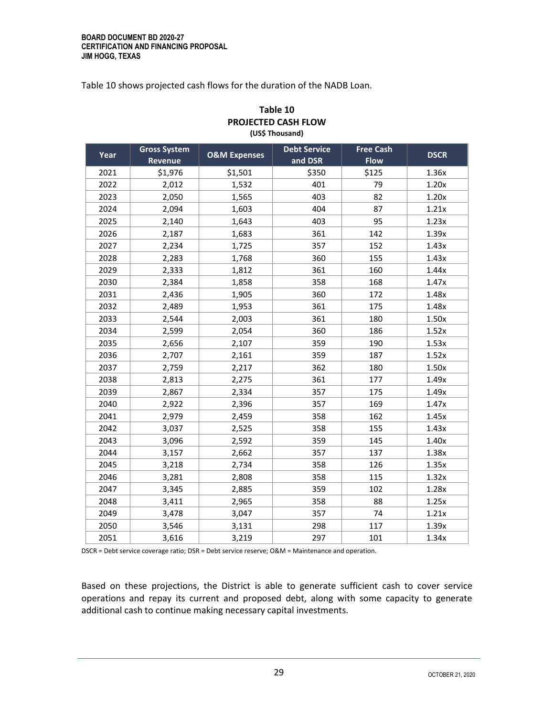Table 10 shows projected cash flows for the duration of the NADB Loan.

| FNUJLLI LU LAJN FLUW<br>(US\$ Thousand) |                                |                         |                                |                                 |             |  |  |  |  |
|-----------------------------------------|--------------------------------|-------------------------|--------------------------------|---------------------------------|-------------|--|--|--|--|
| Year                                    | <b>Gross System</b><br>Revenue | <b>O&amp;M Expenses</b> | <b>Debt Service</b><br>and DSR | <b>Free Cash</b><br><b>Flow</b> | <b>DSCR</b> |  |  |  |  |
| 2021                                    | \$1,976                        | \$1,501                 | \$350                          | \$125                           | 1.36x       |  |  |  |  |
| 2022                                    | 2,012                          | 1,532                   | 401                            | 79                              | 1.20x       |  |  |  |  |
| 2023                                    | 2,050                          | 1,565                   | 403                            | 82                              | 1.20x       |  |  |  |  |
| 2024                                    | 2,094                          | 1,603                   | 404                            | 87                              | 1.21x       |  |  |  |  |
| 2025                                    | 2,140                          | 1,643                   | 403                            | 95                              | 1.23x       |  |  |  |  |
| 2026                                    | 2,187                          | 1,683                   | 361                            | 142                             | 1.39x       |  |  |  |  |
| 2027                                    | 2,234                          | 1,725                   | 357                            | 152                             | 1.43x       |  |  |  |  |
| 2028                                    | 2,283                          | 1,768                   | 360                            | 155                             | 1.43x       |  |  |  |  |
| 2029                                    | 2,333                          | 1,812                   | 361                            | 160                             | 1.44x       |  |  |  |  |
| 2030                                    | 2,384                          | 1,858                   | 358                            | 168                             | 1.47x       |  |  |  |  |
| 2031                                    | 2,436                          | 1,905                   | 360                            | 172                             | 1.48x       |  |  |  |  |
| 2032                                    | 2,489                          | 1,953                   | 361                            | 175                             | 1.48x       |  |  |  |  |
| 2033                                    | 2,544                          | 2,003                   | 361                            | 180                             | 1.50x       |  |  |  |  |
| 2034                                    | 2,599                          | 2,054                   | 360                            | 186                             | 1.52x       |  |  |  |  |
| 2035                                    | 2,656                          | 2,107                   | 359                            | 190                             | 1.53x       |  |  |  |  |
| 2036                                    | 2,707                          | 2,161                   | 359                            | 187                             | 1.52x       |  |  |  |  |
| 2037                                    | 2,759                          | 2,217                   | 362                            | 180                             | 1.50x       |  |  |  |  |
| 2038                                    | 2,813                          | 2,275                   | 361                            | 177                             | 1.49x       |  |  |  |  |
| 2039                                    | 2,867                          | 2,334                   | 357                            | 175                             | 1.49x       |  |  |  |  |
| 2040                                    | 2,922                          | 2,396                   | 357                            | 169                             | 1.47x       |  |  |  |  |
| 2041                                    | 2,979                          | 2,459                   | 358                            | 162                             | 1.45x       |  |  |  |  |
| 2042                                    | 3,037                          | 2,525                   | 358                            | 155                             | 1.43x       |  |  |  |  |
| 2043                                    | 3,096                          | 2,592                   | 359                            | 145                             | 1.40x       |  |  |  |  |
| 2044                                    | 3,157                          | 2,662                   | 357                            | 137                             | 1.38x       |  |  |  |  |
| 2045                                    | 3,218                          | 2,734                   | 358                            | 126                             | 1.35x       |  |  |  |  |
| 2046                                    | 3,281                          | 2,808                   | 358                            | 115                             | 1.32x       |  |  |  |  |
| 2047                                    | 3,345                          | 2,885                   | 359                            | 102                             | 1.28x       |  |  |  |  |
| 2048                                    | 3,411                          | 2,965                   | 358                            | 88                              | 1.25x       |  |  |  |  |
| 2049                                    | 3,478                          | 3,047                   | 357                            | 74                              | 1.21x       |  |  |  |  |
| 2050                                    | 3,546                          | 3,131                   | 298                            | 117                             | 1.39x       |  |  |  |  |
| 2051                                    | 3,616                          | 3,219                   | 297                            | 101                             | 1.34x       |  |  |  |  |

## **Table 10 PROJECTED CASH FLOW**

DSCR = Debt service coverage ratio; DSR = Debt service reserve; O&M = Maintenance and operation.

Based on these projections, the District is able to generate sufficient cash to cover service operations and repay its current and proposed debt, along with some capacity to generate additional cash to continue making necessary capital investments.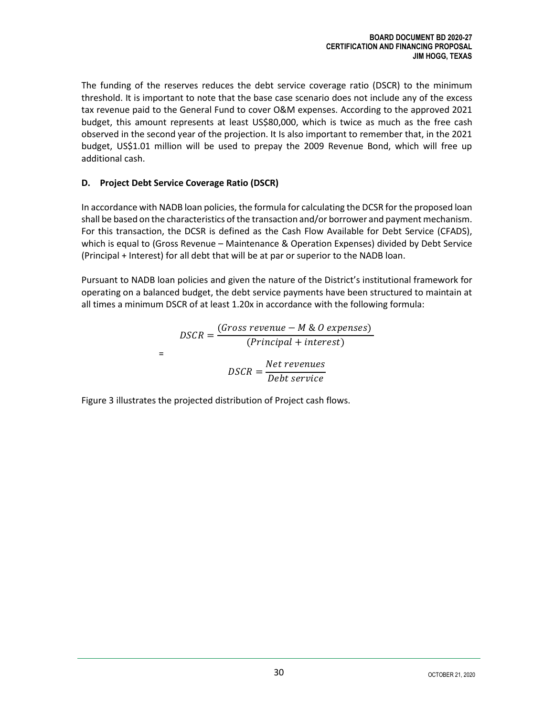The funding of the reserves reduces the debt service coverage ratio (DSCR) to the minimum threshold. It is important to note that the base case scenario does not include any of the excess tax revenue paid to the General Fund to cover O&M expenses. According to the approved 2021 budget, this amount represents at least US\$80,000, which is twice as much as the free cash observed in the second year of the projection. It Is also important to remember that, in the 2021 budget, US\$1.01 million will be used to prepay the 2009 Revenue Bond, which will free up additional cash.

#### <span id="page-33-0"></span>**D. Project Debt Service Coverage Ratio (DSCR)**

In accordance with NADB loan policies, the formula for calculating the DCSR for the proposed loan shall be based on the characteristics of the transaction and/or borrower and payment mechanism. For this transaction, the DCSR is defined as the Cash Flow Available for Debt Service (CFADS), which is equal to (Gross Revenue – Maintenance & Operation Expenses) divided by Debt Service (Principal + Interest) for all debt that will be at par or superior to the NADB loan.

Pursuant to NADB loan policies and given the nature of the District's institutional framework for operating on a balanced budget, the debt service payments have been structured to maintain at all times a minimum DSCR of at least 1.20x in accordance with the following formula:

> $DSCR =$  $(Gross revenue - M & O$  expenses)  $(Principal + interest)$ =  $DSCR =$ Net revenues Debt service

Figure 3 illustrates the projected distribution of Project cash flows.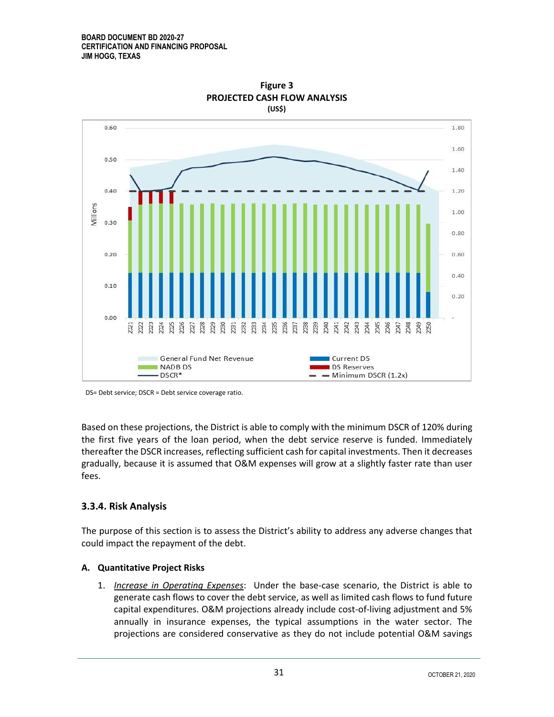#### **BOARD DOCUMENT BD 2020-27 CERTIFICATION AND FINANCING PROPOSAL JIM HOGG, TEXAS**



**Figure 3 PROJECTED CASH FLOW ANALYSIS (US\$)**

Based on these projections, the District is able to comply with the minimum DSCR of 120% during the first five years of the loan period, when the debt service reserve is funded. Immediately thereafter the DSCR increases, reflecting sufficient cash for capital investments. Then it decreases gradually, because it is assumed that O&M expenses will grow at a slightly faster rate than user fees.

#### <span id="page-34-0"></span>**3.3.4. Risk Analysis**

The purpose of this section is to assess the District's ability to address any adverse changes that could impact the repayment of the debt.

#### <span id="page-34-1"></span>**A. Quantitative Project Risks**

1. *Increase in Operating Expenses*: Under the base-case scenario, the District is able to generate cash flows to cover the debt service, as well as limited cash flows to fund future capital expenditures. O&M projections already include cost-of-living adjustment and 5% annually in insurance expenses, the typical assumptions in the water sector. The projections are considered conservative as they do not include potential O&M savings

DS= Debt service; DSCR = Debt service coverage ratio.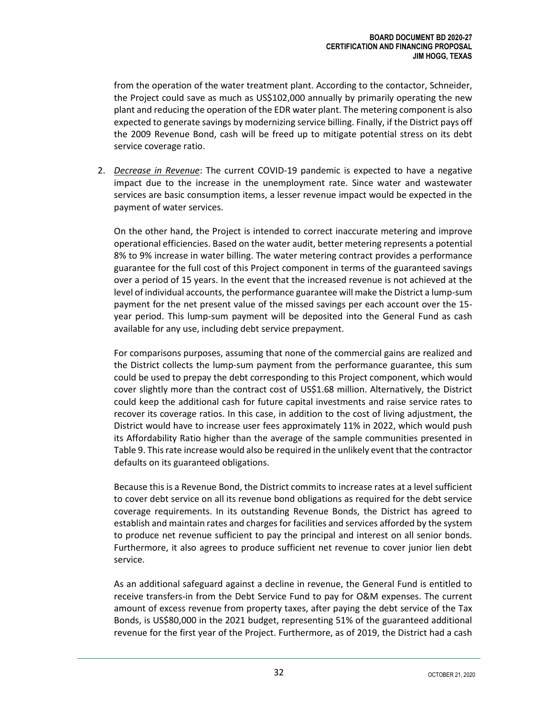from the operation of the water treatment plant. According to the contactor, Schneider, the Project could save as much as US\$102,000 annually by primarily operating the new plant and reducing the operation of the EDR water plant. The metering component is also expected to generate savings by modernizing service billing. Finally, if the District pays off the 2009 Revenue Bond, cash will be freed up to mitigate potential stress on its debt service coverage ratio.

2. *Decrease in Revenue*: The current COVID-19 pandemic is expected to have a negative impact due to the increase in the unemployment rate. Since water and wastewater services are basic consumption items, a lesser revenue impact would be expected in the payment of water services.

On the other hand, the Project is intended to correct inaccurate metering and improve operational efficiencies. Based on the water audit, better metering represents a potential 8% to 9% increase in water billing. The water metering contract provides a performance guarantee for the full cost of this Project component in terms of the guaranteed savings over a period of 15 years. In the event that the increased revenue is not achieved at the level of individual accounts, the performance guarantee will make the District a lump-sum payment for the net present value of the missed savings per each account over the 15 year period. This lump-sum payment will be deposited into the General Fund as cash available for any use, including debt service prepayment.

For comparisons purposes, assuming that none of the commercial gains are realized and the District collects the lump-sum payment from the performance guarantee, this sum could be used to prepay the debt corresponding to this Project component, which would cover slightly more than the contract cost of US\$1.68 million. Alternatively, the District could keep the additional cash for future capital investments and raise service rates to recover its coverage ratios. In this case, in addition to the cost of living adjustment, the District would have to increase user fees approximately 11% in 2022, which would push its Affordability Ratio higher than the average of the sample communities presented in Table 9. This rate increase would also be required in the unlikely event that the contractor defaults on its guaranteed obligations.

Because this is a Revenue Bond, the District commits to increase rates at a level sufficient to cover debt service on all its revenue bond obligations as required for the debt service coverage requirements. In its outstanding Revenue Bonds, the District has agreed to establish and maintain rates and charges for facilities and services afforded by the system to produce net revenue sufficient to pay the principal and interest on all senior bonds. Furthermore, it also agrees to produce sufficient net revenue to cover junior lien debt service.

As an additional safeguard against a decline in revenue, the General Fund is entitled to receive transfers-in from the Debt Service Fund to pay for O&M expenses. The current amount of excess revenue from property taxes, after paying the debt service of the Tax Bonds, is US\$80,000 in the 2021 budget, representing 51% of the guaranteed additional revenue for the first year of the Project. Furthermore, as of 2019, the District had a cash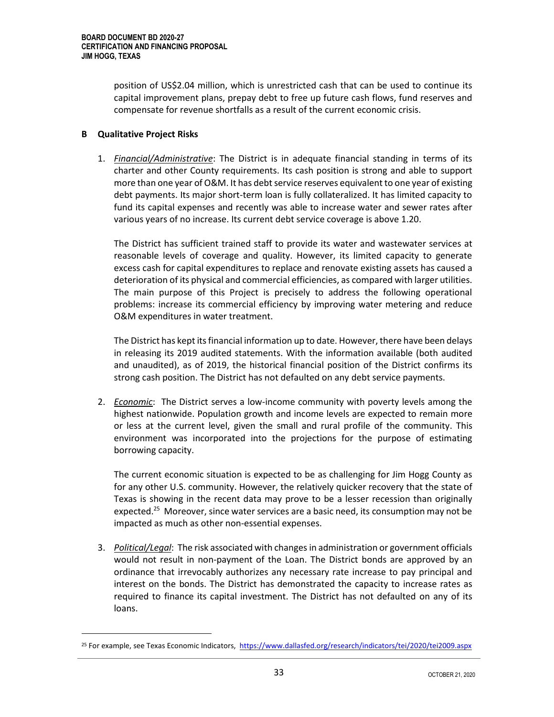position of US\$2.04 million, which is unrestricted cash that can be used to continue its capital improvement plans, prepay debt to free up future cash flows, fund reserves and compensate for revenue shortfalls as a result of the current economic crisis.

#### <span id="page-36-0"></span>**B Qualitative Project Risks**

1. *Financial/Administrative*: The District is in adequate financial standing in terms of its charter and other County requirements. Its cash position is strong and able to support more than one year of O&M. It has debt service reserves equivalent to one year of existing debt payments. Its major short-term loan is fully collateralized. It has limited capacity to fund its capital expenses and recently was able to increase water and sewer rates after various years of no increase. Its current debt service coverage is above 1.20.

The District has sufficient trained staff to provide its water and wastewater services at reasonable levels of coverage and quality. However, its limited capacity to generate excess cash for capital expenditures to replace and renovate existing assets has caused a deterioration of its physical and commercial efficiencies, as compared with larger utilities. The main purpose of this Project is precisely to address the following operational problems: increase its commercial efficiency by improving water metering and reduce O&M expenditures in water treatment.

The District has kept its financial information up to date. However, there have been delays in releasing its 2019 audited statements. With the information available (both audited and unaudited), as of 2019, the historical financial position of the District confirms its strong cash position. The District has not defaulted on any debt service payments.

2. *Economic*: The District serves a low-income community with poverty levels among the highest nationwide. Population growth and income levels are expected to remain more or less at the current level, given the small and rural profile of the community. This environment was incorporated into the projections for the purpose of estimating borrowing capacity.

The current economic situation is expected to be as challenging for Jim Hogg County as for any other U.S. community. However, the relatively quicker recovery that the state of Texas is showing in the recent data may prove to be a lesser recession than originally expected.<sup>25</sup> Moreover, since water services are a basic need, its consumption may not be impacted as much as other non-essential expenses.

3. *Political/Legal*: The risk associated with changes in administration or government officials would not result in non-payment of the Loan. The District bonds are approved by an ordinance that irrevocably authorizes any necessary rate increase to pay principal and interest on the bonds. The District has demonstrated the capacity to increase rates as required to finance its capital investment. The District has not defaulted on any of its loans.

<sup>&</sup>lt;sup>25</sup> For example, see Texas Economic Indicators, <https://www.dallasfed.org/research/indicators/tei/2020/tei2009.aspx>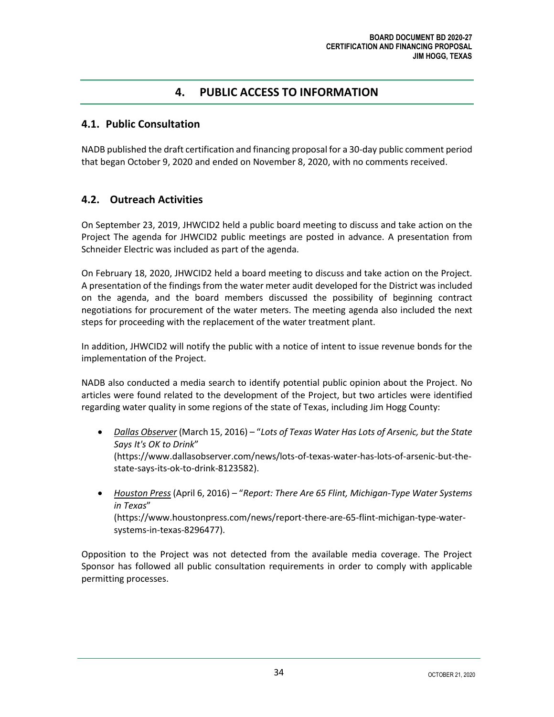### **4. PUBLIC ACCESS TO INFORMATION**

#### <span id="page-37-1"></span><span id="page-37-0"></span>**4.1. Public Consultation**

NADB published the draft certification and financing proposal for a 30-day public comment period that began October 9, 2020 and ended on November 8, 2020, with no comments received.

#### <span id="page-37-2"></span>**4.2. Outreach Activities**

On September 23, 2019, JHWCID2 held a public board meeting to discuss and take action on the Project The agenda for JHWCID2 public meetings are posted in advance. A presentation from Schneider Electric was included as part of the agenda.

On February 18, 2020, JHWCID2 held a board meeting to discuss and take action on the Project. A presentation of the findings from the water meter audit developed for the District was included on the agenda, and the board members discussed the possibility of beginning contract negotiations for procurement of the water meters. The meeting agenda also included the next steps for proceeding with the replacement of the water treatment plant.

In addition, JHWCID2 will notify the public with a notice of intent to issue revenue bonds for the implementation of the Project.

NADB also conducted a media search to identify potential public opinion about the Project. No articles were found related to the development of the Project, but two articles were identified regarding water quality in some regions of the state of Texas, including Jim Hogg County:

- *Dallas Observer* (March 15, 2016) "*Lots of Texas Water Has Lots of Arsenic, but the State Says It's OK to Drink*" [\(https://www.dallasobserver.com/news/lots-of-texas-water-has-lots-of-arsenic-but-the](https://www.dallasobserver.com/news/lots-of-texas-water-has-lots-of-arsenic-but-the-state-says-its-ok-to-drink-8123582)[state-says-its-ok-to-drink-8123582\)](https://www.dallasobserver.com/news/lots-of-texas-water-has-lots-of-arsenic-but-the-state-says-its-ok-to-drink-8123582).
- *Houston Press* (April 6, 2016) "*Report: There Are 65 Flint, Michigan-Type Water Systems in Texas*" (https://www.houstonpress.com/news/report-there-are-65-flint-michigan-type-watersystems-in-texas-8296477).

Opposition to the Project was not detected from the available media coverage. The Project Sponsor has followed all public consultation requirements in order to comply with applicable permitting processes.